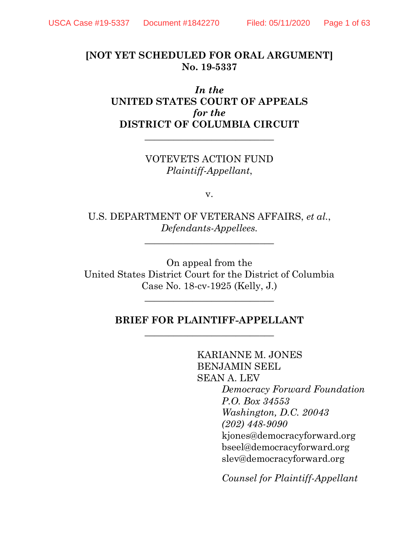# **[NOT YET SCHEDULED FOR ORAL ARGUMENT] No. 19-5337**

*In the* **UNITED STATES COURT OF APPEALS** *for the* **DISTRICT OF COLUMBIA CIRCUIT**

> VOTEVETS ACTION FUND *Plaintiff-Appellant*,

> **\_\_\_\_\_\_\_\_\_\_\_\_\_\_\_\_\_\_\_\_\_\_\_\_\_\_\_**

v.

U.S. DEPARTMENT OF VETERANS AFFAIRS, *et al.*, *Defendants-Appellees.*

**\_\_\_\_\_\_\_\_\_\_\_\_\_\_\_\_\_\_\_\_\_\_\_\_\_\_\_**

On appeal from the United States District Court for the District of Columbia Case No. 18-cv-1925 (Kelly, J.)

\_\_\_\_\_\_\_\_\_\_\_\_\_\_\_\_\_\_\_\_\_\_\_\_\_\_\_

## **BRIEF FOR PLAINTIFF-APPELLANT** \_\_\_\_\_\_\_\_\_\_\_\_\_\_\_\_\_\_\_\_\_\_\_\_\_\_\_

KARIANNE M. JONES BENJAMIN SEEL SEAN A. LEV *Democracy Forward Foundation P.O. Box 34553 Washington, D.C. 20043 (202) 448-9090* [kjones@democracyforward.org](mailto:kjones@democracyforward.org) bseel@democracyforward.org slev@democracyforward.org

*Counsel for Plaintiff-Appellant*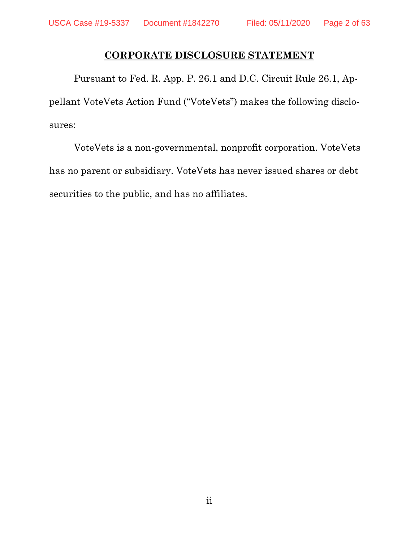# **CORPORATE DISCLOSURE STATEMENT**

Pursuant to Fed. R. App. P. 26.1 and D.C. Circuit Rule 26.1, Appellant VoteVets Action Fund ("VoteVets") makes the following disclosures:

VoteVets is a non-governmental, nonprofit corporation. VoteVets has no parent or subsidiary. VoteVets has never issued shares or debt securities to the public, and has no affiliates.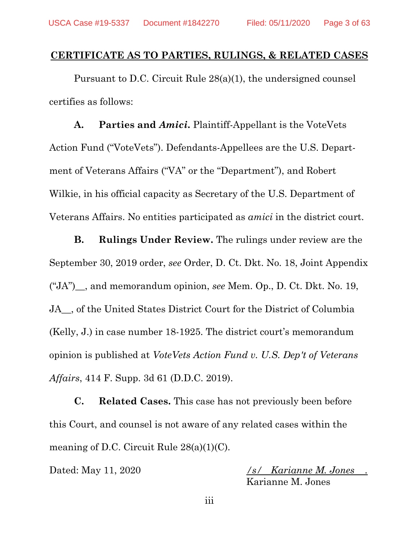### **CERTIFICATE AS TO PARTIES, RULINGS, & RELATED CASES**

Pursuant to D.C. Circuit Rule 28(a)(1), the undersigned counsel certifies as follows:

**A. Parties and** *Amici***.** Plaintiff-Appellant is the VoteVets Action Fund ("VoteVets"). Defendants-Appellees are the U.S. Department of Veterans Affairs ("VA" or the "Department"), and Robert Wilkie, in his official capacity as Secretary of the U.S. Department of Veterans Affairs. No entities participated as *amici* in the district court.

**B. Rulings Under Review.** The rulings under review are the September 30, 2019 order, *see* Order, D. Ct. Dkt. No. 18, Joint Appendix ("JA")\_\_, and memorandum opinion, *see* Mem. Op., D. Ct. Dkt. No. 19, JA<sub>n</sub>, of the United States District Court for the District of Columbia (Kelly, J.) in case number 18-1925. The district court's memorandum opinion is published at *VoteVets Action Fund v. U.S. Dep't of Veterans Affairs*, 414 F. Supp. 3d 61 (D.D.C. 2019).

**C. Related Cases.** This case has not previously been before this Court, and counsel is not aware of any related cases within the meaning of D.C. Circuit Rule  $28(a)(1)(C)$ .

Dated: May 11, 2020 */s/ Karianne M. Jones .* Karianne M. Jones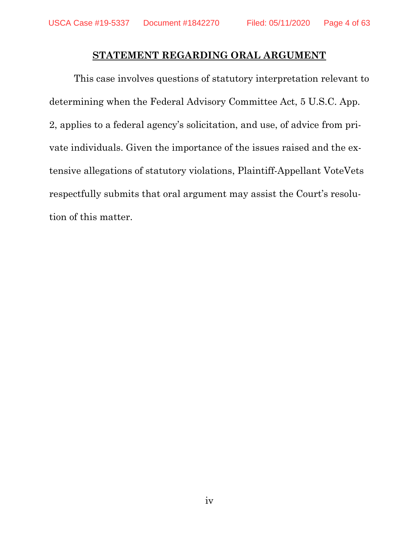## **STATEMENT REGARDING ORAL ARGUMENT**

This case involves questions of statutory interpretation relevant to determining when the Federal Advisory Committee Act, 5 U.S.C. App. 2, applies to a federal agency's solicitation, and use, of advice from private individuals. Given the importance of the issues raised and the extensive allegations of statutory violations, Plaintiff-Appellant VoteVets respectfully submits that oral argument may assist the Court's resolution of this matter.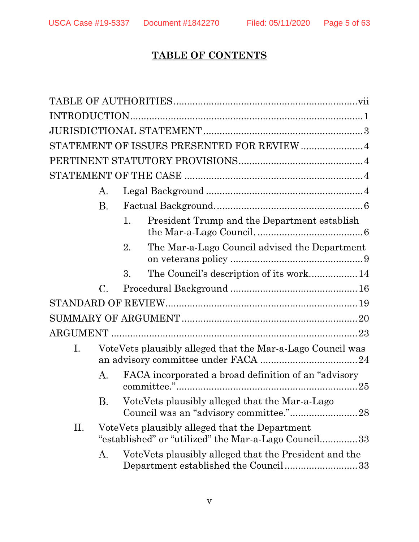# **TABLE OF CONTENTS**

<span id="page-4-0"></span>

|    |                                                            |    | STATEMENT OF ISSUES PRESENTED FOR REVIEW  4                                                            |  |  |  |  |
|----|------------------------------------------------------------|----|--------------------------------------------------------------------------------------------------------|--|--|--|--|
|    |                                                            |    |                                                                                                        |  |  |  |  |
|    |                                                            |    |                                                                                                        |  |  |  |  |
|    | Α.                                                         |    |                                                                                                        |  |  |  |  |
|    | <b>B.</b>                                                  |    |                                                                                                        |  |  |  |  |
|    |                                                            | 1. | President Trump and the Department establish                                                           |  |  |  |  |
|    |                                                            | 2. | The Mar-a-Lago Council advised the Department                                                          |  |  |  |  |
|    |                                                            | 3. | The Council's description of its work 14                                                               |  |  |  |  |
|    | $\mathcal{C}_{-}$                                          |    |                                                                                                        |  |  |  |  |
|    |                                                            |    |                                                                                                        |  |  |  |  |
|    |                                                            |    |                                                                                                        |  |  |  |  |
|    |                                                            |    |                                                                                                        |  |  |  |  |
| Ι. | VoteVets plausibly alleged that the Mar-a-Lago Council was |    |                                                                                                        |  |  |  |  |
|    | Α.                                                         |    | FACA incorporated a broad definition of an "advisory"                                                  |  |  |  |  |
|    | В.                                                         |    | VoteVets plausibly alleged that the Mar-a-Lago                                                         |  |  |  |  |
| П. |                                                            |    | VoteVets plausibly alleged that the Department<br>"established" or "utilized" the Mar-a-Lago Council33 |  |  |  |  |
|    | Α.                                                         |    | VoteVets plausibly alleged that the President and the<br>Department established the Council33          |  |  |  |  |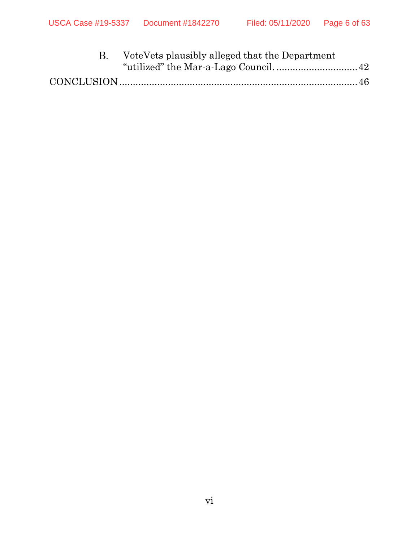| VoteVets plausibly alleged that the Department |  |
|------------------------------------------------|--|
|                                                |  |
|                                                |  |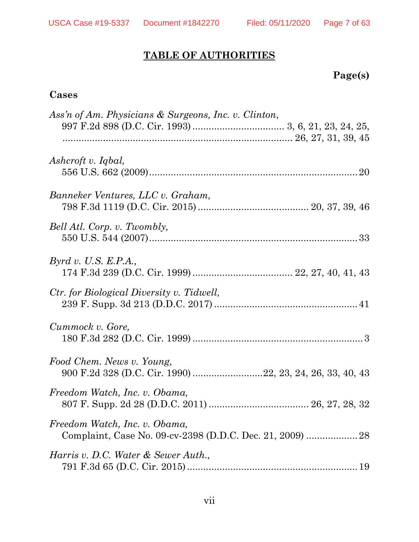# **TABLE OF AUTHORITIES**

# **Page(s)**

# **Cases**

| Ass'n of Am. Physicians & Surgeons, Inc. v. Clinton,                                       |
|--------------------------------------------------------------------------------------------|
|                                                                                            |
| Ashcroft v. Iqbal,                                                                         |
| Banneker Ventures, LLC v. Graham,                                                          |
| Bell Atl. Corp. v. Twombly,                                                                |
| Byrd v. U.S. E.P.A.,                                                                       |
| <i>Ctr.</i> for Biological Diversity v. Tidwell,                                           |
| Cummock v. Gore,                                                                           |
| Food Chem. News v. Young,<br>900 F.2d 328 (D.C. Cir. 1990) 22, 23, 24, 26, 33, 40, 43      |
| Freedom Watch, Inc. v. Obama,                                                              |
| Freedom Watch, Inc. v. Obama,<br>Complaint, Case No. 09-cv-2398 (D.D.C. Dec. 21, 2009)  28 |
| Harris v. D.C. Water & Sewer Auth.,                                                        |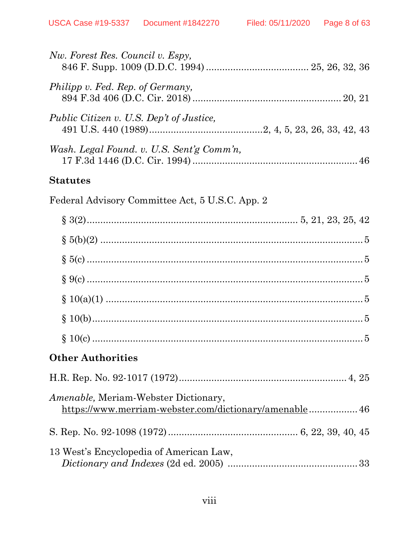| Nw. Forest Res. Council v. Espy,                                                                      |
|-------------------------------------------------------------------------------------------------------|
| Philipp v. Fed. Rep. of Germany,                                                                      |
| Public Citizen v. U.S. Dep't of Justice,                                                              |
| Wash. Legal Found. v. U.S. Sent'g Comm'n,                                                             |
| <b>Statutes</b>                                                                                       |
| Federal Advisory Committee Act, 5 U.S.C. App. 2                                                       |
|                                                                                                       |
|                                                                                                       |
|                                                                                                       |
|                                                                                                       |
|                                                                                                       |
|                                                                                                       |
|                                                                                                       |
| <b>Other Authorities</b>                                                                              |
|                                                                                                       |
| <i>Amenable,</i> Meriam-Webster Dictionary,<br>https://www.merriam-webster.com/dictionary/amenable 46 |
|                                                                                                       |
| 13 West's Encyclopedia of American Law,                                                               |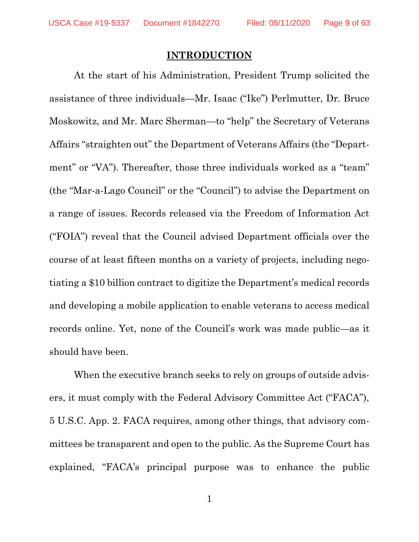### **INTRODUCTION**

<span id="page-8-0"></span>At the start of his Administration, President Trump solicited the assistance of three individuals—Mr. Isaac ("Ike") Perlmutter, Dr. Bruce Moskowitz, and Mr. Marc Sherman—to "help" the Secretary of Veterans Affairs "straighten out" the Department of Veterans Affairs (the "Department" or "VA"). Thereafter, those three individuals worked as a "team" (the "Mar-a-Lago Council" or the "Council") to advise the Department on a range of issues. Records released via the Freedom of Information Act ("FOIA") reveal that the Council advised Department officials over the course of at least fifteen months on a variety of projects, including negotiating a \$10 billion contract to digitize the Department's medical records and developing a mobile application to enable veterans to access medical records online. Yet, none of the Council's work was made public—as it should have been.

When the executive branch seeks to rely on groups of outside advisers, it must comply with the Federal Advisory Committee Act ("FACA"), 5 U.S.C. App. 2. FACA requires, among other things, that advisory committees be transparent and open to the public. As the Supreme Court has explained, "FACA's principal purpose was to enhance the public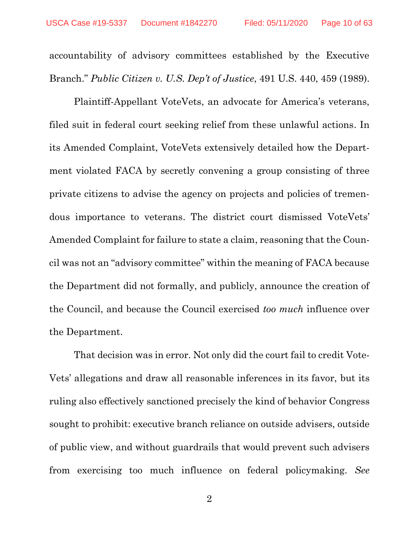accountability of advisory committees established by the Executive Branch." *Public Citizen v. U.S. Dep't of Justice*, 491 U.S. 440, 459 (1989).

Plaintiff-Appellant VoteVets, an advocate for America's veterans, filed suit in federal court seeking relief from these unlawful actions. In its Amended Complaint, VoteVets extensively detailed how the Department violated FACA by secretly convening a group consisting of three private citizens to advise the agency on projects and policies of tremendous importance to veterans. The district court dismissed VoteVets' Amended Complaint for failure to state a claim, reasoning that the Council was not an "advisory committee" within the meaning of FACA because the Department did not formally, and publicly, announce the creation of the Council, and because the Council exercised *too much* influence over the Department.

That decision was in error. Not only did the court fail to credit Vote-Vets' allegations and draw all reasonable inferences in its favor, but its ruling also effectively sanctioned precisely the kind of behavior Congress sought to prohibit: executive branch reliance on outside advisers, outside of public view, and without guardrails that would prevent such advisers from exercising too much influence on federal policymaking. *See*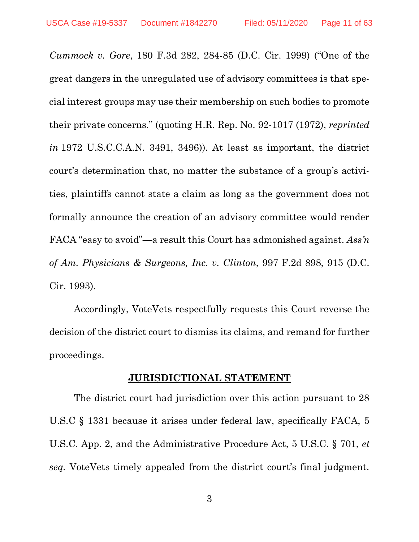*Cummock v. Gore*, 180 F.3d 282, 284-85 (D.C. Cir. 1999) ("One of the great dangers in the unregulated use of advisory committees is that special interest groups may use their membership on such bodies to promote their private concerns." (quoting H.R. Rep. No. 92-1017 (1972), *reprinted in* 1972 U.S.C.C.A.N. 3491, 3496)). At least as important, the district court's determination that, no matter the substance of a group's activities, plaintiffs cannot state a claim as long as the government does not formally announce the creation of an advisory committee would render FACA "easy to avoid"—a result this Court has admonished against. *Ass'n of Am. Physicians & Surgeons, Inc. v. Clinton*, 997 F.2d 898, 915 (D.C. Cir. 1993).

Accordingly, VoteVets respectfully requests this Court reverse the decision of the district court to dismiss its claims, and remand for further proceedings.

### **JURISDICTIONAL STATEMENT**

<span id="page-10-0"></span>The district court had jurisdiction over this action pursuant to 28 U.S.C § 1331 because it arises under federal law, specifically FACA, 5 U.S.C. App. 2, and the Administrative Procedure Act, 5 U.S.C. § 701, *et seq.* VoteVets timely appealed from the district court's final judgment.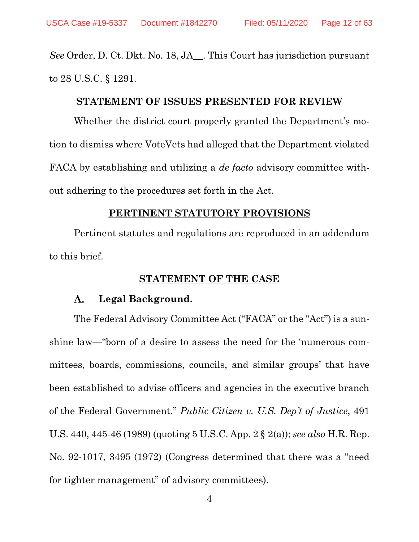*See* Order, D. Ct. Dkt. No. 18, JA\_\_. This Court has jurisdiction pursuant to 28 U.S.C. § 1291.

### **STATEMENT OF ISSUES PRESENTED FOR REVIEW**

<span id="page-11-0"></span>Whether the district court properly granted the Department's motion to dismiss where VoteVets had alleged that the Department violated FACA by establishing and utilizing a *de facto* advisory committee without adhering to the procedures set forth in the Act.

#### **PERTINENT STATUTORY PROVISIONS**

<span id="page-11-1"></span>Pertinent statutes and regulations are reproduced in an addendum to this brief.

### <span id="page-11-5"></span><span id="page-11-4"></span>**STATEMENT OF THE CASE**

#### <span id="page-11-2"></span> $\mathbf{A}$ . **Legal Background.**

<span id="page-11-3"></span>The Federal Advisory Committee Act ("FACA" or the "Act") is a sunshine law—"born of a desire to assess the need for the 'numerous committees, boards, commissions, councils, and similar groups' that have been established to advise officers and agencies in the executive branch of the Federal Government." *Public Citizen v. U.S. Dep't of Justice*, 491 U.S. 440, 445-46 (1989) (quoting 5 U.S.C. App. 2 § 2(a)); *see also* H.R. Rep. No. 92-1017, 3495 (1972) (Congress determined that there was a "need for tighter management" of advisory committees).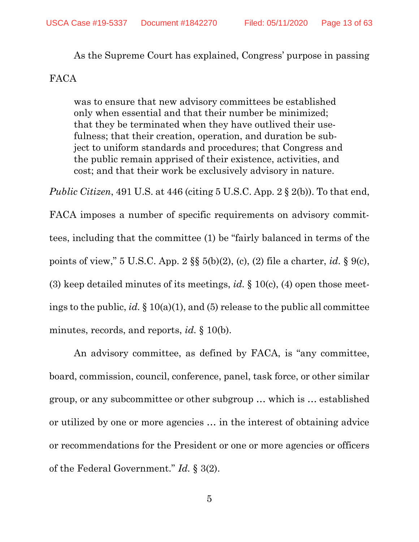As the Supreme Court has explained, Congress' purpose in passing FACA

was to ensure that new advisory committees be established only when essential and that their number be minimized; that they be terminated when they have outlived their usefulness; that their creation, operation, and duration be subject to uniform standards and procedures; that Congress and the public remain apprised of their existence, activities, and cost; and that their work be exclusively advisory in nature.

<span id="page-12-0"></span>*Public Citizen*, 491 U.S. at 446 (citing 5 U.S.C. App. 2 § 2(b)). To that end,

<span id="page-12-5"></span><span id="page-12-2"></span><span id="page-12-1"></span>FACA imposes a number of specific requirements on advisory committees, including that the committee (1) be "fairly balanced in terms of the points of view," 5 U.S.C. App. 2 §§ 5(b)(2), (c), (2) file a charter, *id.* § 9(c), (3) keep detailed minutes of its meetings, *id.* § 10(c), (4) open those meetings to the public, *id.* § 10(a)(1), and (5) release to the public all committee minutes, records, and reports, *id.* § 10(b).

<span id="page-12-4"></span><span id="page-12-3"></span>An advisory committee, as defined by FACA, is "any committee, board, commission, council, conference, panel, task force, or other similar group, or any subcommittee or other subgroup … which is … established or utilized by one or more agencies … in the interest of obtaining advice or recommendations for the President or one or more agencies or officers of the Federal Government." *Id.* § 3(2).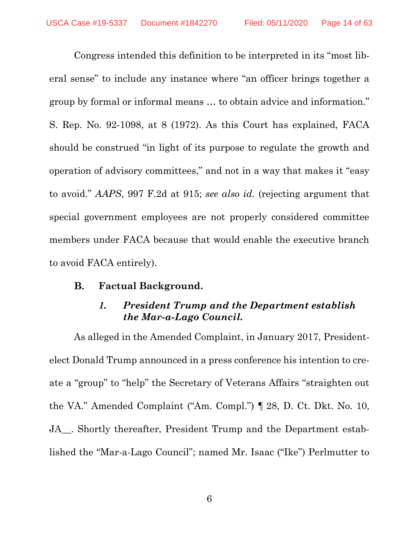Congress intended this definition to be interpreted in its "most liberal sense" to include any instance where "an officer brings together a group by formal or informal means … to obtain advice and information." S. Rep. No. 92-1098, at 8 (1972). As this Court has explained, FACA should be construed "in light of its purpose to regulate the growth and operation of advisory committees," and not in a way that makes it "easy to avoid." *AAPS*, 997 F.2d at 915; *see also id.* (rejecting argument that special government employees are not properly considered committee members under FACA because that would enable the executive branch to avoid FACA entirely).

<span id="page-13-2"></span><span id="page-13-1"></span><span id="page-13-0"></span>В. **Factual Background.**

# *1. President Trump and the Department establish the Mar-a-Lago Council.*

As alleged in the Amended Complaint, in January 2017, Presidentelect Donald Trump announced in a press conference his intention to create a "group" to "help" the Secretary of Veterans Affairs "straighten out the VA." Amended Complaint ("Am. Compl.") ¶ 28, D. Ct. Dkt. No. 10, JA . Shortly thereafter, President Trump and the Department established the "Mar-a-Lago Council"; named Mr. Isaac ("Ike") Perlmutter to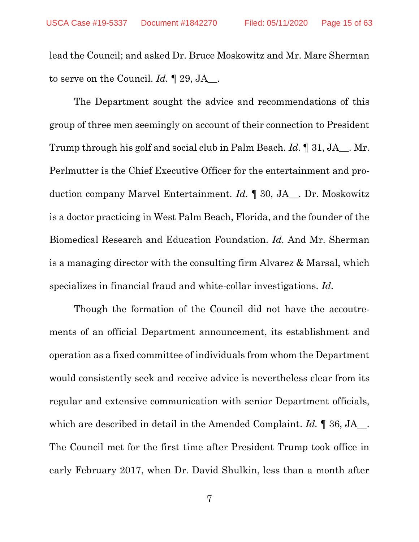lead the Council; and asked Dr. Bruce Moskowitz and Mr. Marc Sherman to serve on the Council. *Id.* ¶ 29, JA\_\_.

The Department sought the advice and recommendations of this group of three men seemingly on account of their connection to President Trump through his golf and social club in Palm Beach. *Id.* ¶ 31, JA\_\_. Mr. Perlmutter is the Chief Executive Officer for the entertainment and production company Marvel Entertainment. *Id.* ¶ 30, JA\_\_. Dr. Moskowitz is a doctor practicing in West Palm Beach, Florida, and the founder of the Biomedical Research and Education Foundation. *Id.* And Mr. Sherman is a managing director with the consulting firm Alvarez & Marsal, which specializes in financial fraud and white-collar investigations. *Id.*

Though the formation of the Council did not have the accoutrements of an official Department announcement, its establishment and operation as a fixed committee of individuals from whom the Department would consistently seek and receive advice is nevertheless clear from its regular and extensive communication with senior Department officials, which are described in detail in the Amended Complaint. *Id.* ¶ 36, JA\_\_. The Council met for the first time after President Trump took office in early February 2017, when Dr. David Shulkin, less than a month after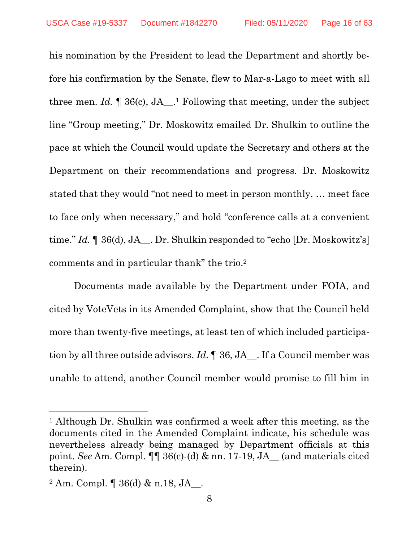his nomination by the President to lead the Department and shortly before his confirmation by the Senate, flew to Mar-a-Lago to meet with all three men.  $Id. \P 36(c)$ ,  $JA$ <sup>1</sup>. Following that meeting, under the subject line "Group meeting," Dr. Moskowitz emailed Dr. Shulkin to outline the pace at which the Council would update the Secretary and others at the Department on their recommendations and progress. Dr. Moskowitz stated that they would "not need to meet in person monthly, … meet face to face only when necessary," and hold "conference calls at a convenient time." *Id.* If 36(d), JA<sub>\_\_</sub>. Dr. Shulkin responded to "echo [Dr. Moskowitz's] comments and in particular thank" the trio. 2

Documents made available by the Department under FOIA, and cited by VoteVets in its Amended Complaint, show that the Council held more than twenty-five meetings, at least ten of which included participation by all three outside advisors. *Id.* ¶ 36, JA\_\_. If a Council member was unable to attend, another Council member would promise to fill him in

<sup>1</sup> Although Dr. Shulkin was confirmed a week after this meeting, as the documents cited in the Amended Complaint indicate, his schedule was nevertheless already being managed by Department officials at this point. *See* Am. Compl. ¶¶ 36(c)-(d) & nn. 17-19, JA\_\_ (and materials cited therein).

<sup>2</sup> Am. Compl. ¶ 36(d) & n.18, JA\_\_.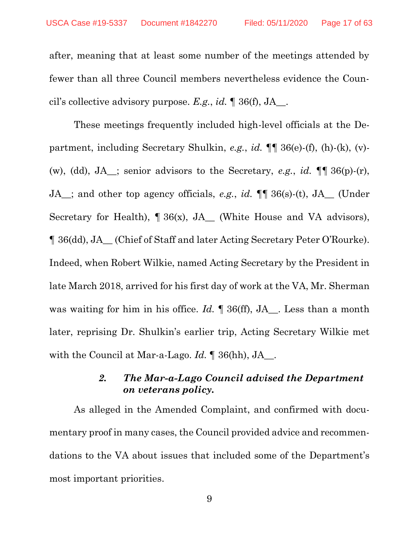after, meaning that at least some number of the meetings attended by fewer than all three Council members nevertheless evidence the Council's collective advisory purpose. *E.g.*, *id.* ¶ 36(f), JA\_\_.

These meetings frequently included high-level officials at the Department, including Secretary Shulkin, *e.g.*, *id.* ¶¶ 36(e)-(f), (h)-(k), (v)- (w), (dd), JA\_\_; senior advisors to the Secretary, *e.g.*, *id.* ¶¶ 36(p)-(r), JA\_\_; and other top agency officials, *e.g.*, *id.* ¶¶ 36(s)-(t), JA\_\_ (Under Secretary for Health),  $\P 36(x)$ , JA<sub>\_</sub> (White House and VA advisors), ¶ 36(dd), JA\_\_ (Chief of Staff and later Acting Secretary Peter O'Rourke). Indeed, when Robert Wilkie, named Acting Secretary by the President in late March 2018, arrived for his first day of work at the VA, Mr. Sherman was waiting for him in his office. *Id.*  $\parallel$  36(ff), JA . Less than a month later, reprising Dr. Shulkin's earlier trip, Acting Secretary Wilkie met with the Council at Mar-a-Lago. *Id.* ¶ 36(hh), JA\_\_.

## *2. The Mar-a-Lago Council advised the Department on veterans policy.*

<span id="page-16-0"></span>As alleged in the Amended Complaint, and confirmed with documentary proof in many cases, the Council provided advice and recommendations to the VA about issues that included some of the Department's most important priorities.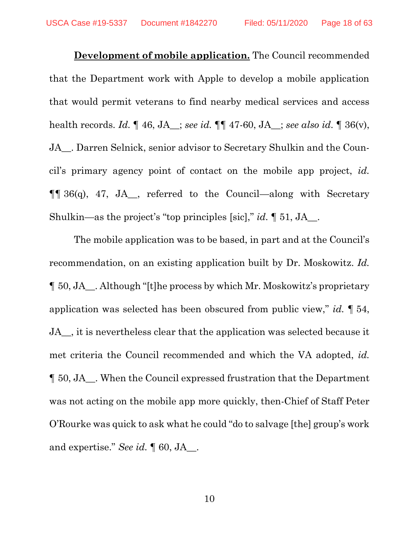**Development of mobile application.** The Council recommended that the Department work with Apple to develop a mobile application that would permit veterans to find nearby medical services and access health records. *Id.* ¶ 46, JA\_\_; *see id.* ¶¶ 47-60, JA\_\_; *see also id.* ¶ 36(v), JA\_\_. Darren Selnick, senior advisor to Secretary Shulkin and the Council's primary agency point of contact on the mobile app project, *id.* ¶¶ 36(q), 47, JA\_\_, referred to the Council—along with Secretary Shulkin—as the project's "top principles [sic]," *id.* ¶ 51, JA\_\_.

The mobile application was to be based, in part and at the Council's recommendation, on an existing application built by Dr. Moskowitz. *Id.* ¶ 50, JA\_\_. Although "[t]he process by which Mr. Moskowitz's proprietary application was selected has been obscured from public view," *id.* ¶ 54, JA\_\_, it is nevertheless clear that the application was selected because it met criteria the Council recommended and which the VA adopted, *id.* ¶ 50, JA\_\_. When the Council expressed frustration that the Department was not acting on the mobile app more quickly, then-Chief of Staff Peter O'Rourke was quick to ask what he could "do to salvage [the] group's work and expertise." *See id.* ¶ 60, JA\_\_.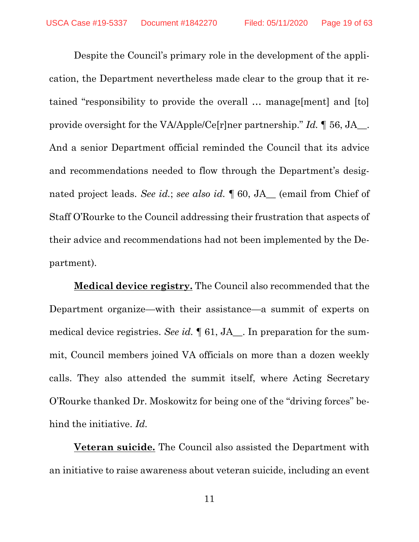Despite the Council's primary role in the development of the application, the Department nevertheless made clear to the group that it retained "responsibility to provide the overall … manage[ment] and [to] provide oversight for the VA/Apple/Ce[r]ner partnership." *Id.* ¶ 56, JA\_\_. And a senior Department official reminded the Council that its advice and recommendations needed to flow through the Department's designated project leads. *See id.*; *see also id.* ¶ 60, JA\_\_ (email from Chief of Staff O'Rourke to the Council addressing their frustration that aspects of their advice and recommendations had not been implemented by the Department).

**Medical device registry.** The Council also recommended that the Department organize—with their assistance—a summit of experts on medical device registries. *See id.* ¶ 61, JA\_\_. In preparation for the summit, Council members joined VA officials on more than a dozen weekly calls. They also attended the summit itself, where Acting Secretary O'Rourke thanked Dr. Moskowitz for being one of the "driving forces" behind the initiative. *Id.*

**Veteran suicide.** The Council also assisted the Department with an initiative to raise awareness about veteran suicide, including an event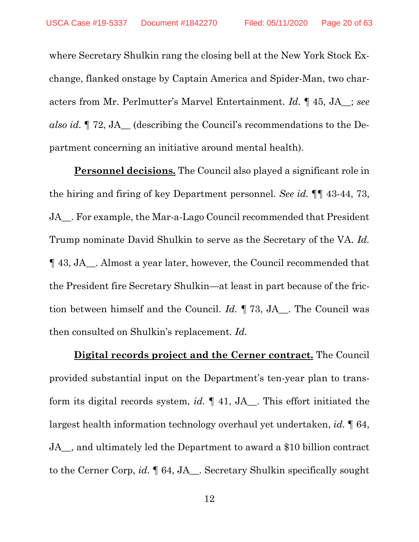where Secretary Shulkin rang the closing bell at the New York Stock Exchange, flanked onstage by Captain America and Spider-Man, two characters from Mr. Perlmutter's Marvel Entertainment. *Id.* ¶ 45, JA\_\_; *see also id.* ¶ 72, JA\_\_ (describing the Council's recommendations to the Department concerning an initiative around mental health).

**Personnel decisions.** The Council also played a significant role in the hiring and firing of key Department personnel. *See id.* ¶¶ 43-44, 73, JA\_\_. For example, the Mar-a-Lago Council recommended that President Trump nominate David Shulkin to serve as the Secretary of the VA. *Id.*  ¶ 43, JA\_\_. Almost a year later, however, the Council recommended that the President fire Secretary Shulkin—at least in part because of the friction between himself and the Council. *Id.* ¶ 73, JA\_\_. The Council was then consulted on Shulkin's replacement. *Id.*

**Digital records project and the Cerner contract.** The Council provided substantial input on the Department's ten-year plan to transform its digital records system, *id.* ¶ 41, JA\_\_. This effort initiated the largest health information technology overhaul yet undertaken, *id.* ¶ 64, JA\_\_, and ultimately led the Department to award a \$10 billion contract to the Cerner Corp, *id.* ¶ 64, JA\_\_. Secretary Shulkin specifically sought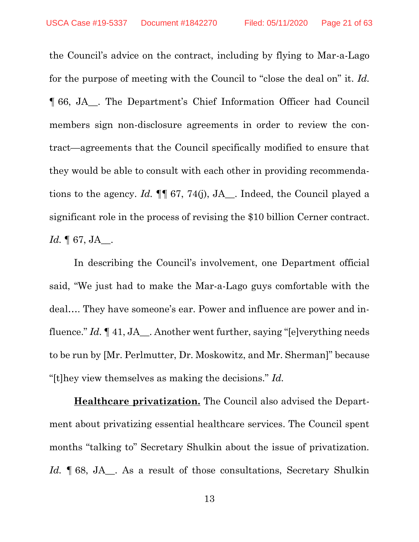the Council's advice on the contract, including by flying to Mar-a-Lago for the purpose of meeting with the Council to "close the deal on" it. *Id.* ¶ 66, JA\_\_. The Department's Chief Information Officer had Council members sign non-disclosure agreements in order to review the contract—agreements that the Council specifically modified to ensure that they would be able to consult with each other in providing recommendations to the agency. *Id.* ¶¶ 67, 74(j), JA\_\_. Indeed, the Council played a significant role in the process of revising the \$10 billion Cerner contract. *Id.* ¶ 67, JA\_\_.

In describing the Council's involvement, one Department official said, "We just had to make the Mar-a-Lago guys comfortable with the deal…. They have someone's ear. Power and influence are power and influence." *Id.* ¶ 41, JA\_\_. Another went further, saying "[e]verything needs to be run by [Mr. Perlmutter, Dr. Moskowitz, and Mr. Sherman]" because "[t]hey view themselves as making the decisions." *Id.*

**Healthcare privatization.** The Council also advised the Department about privatizing essential healthcare services. The Council spent months "talking to" Secretary Shulkin about the issue of privatization. Id.  $\parallel$  68, JA<sub>\_</sub>. As a result of those consultations, Secretary Shulkin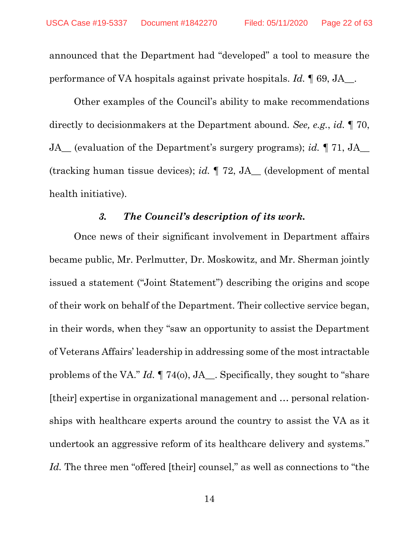announced that the Department had "developed" a tool to measure the performance of VA hospitals against private hospitals. *Id.* ¶ 69, JA\_\_.

Other examples of the Council's ability to make recommendations directly to decisionmakers at the Department abound. *See, e.g.*, *id.* ¶ 70, JA\_\_ (evaluation of the Department's surgery programs); *id.* ¶ 71, JA\_\_ (tracking human tissue devices); *id.* ¶ 72, JA\_\_ (development of mental health initiative).

### *3. The Council's description of its work.*

<span id="page-21-0"></span>Once news of their significant involvement in Department affairs became public, Mr. Perlmutter, Dr. Moskowitz, and Mr. Sherman jointly issued a statement ("Joint Statement") describing the origins and scope of their work on behalf of the Department. Their collective service began, in their words, when they "saw an opportunity to assist the Department of Veterans Affairs' leadership in addressing some of the most intractable problems of the VA." *Id.* ¶ 74(o), JA\_\_. Specifically, they sought to "share [their] expertise in organizational management and … personal relationships with healthcare experts around the country to assist the VA as it undertook an aggressive reform of its healthcare delivery and systems." Id. The three men "offered [their] counsel," as well as connections to "the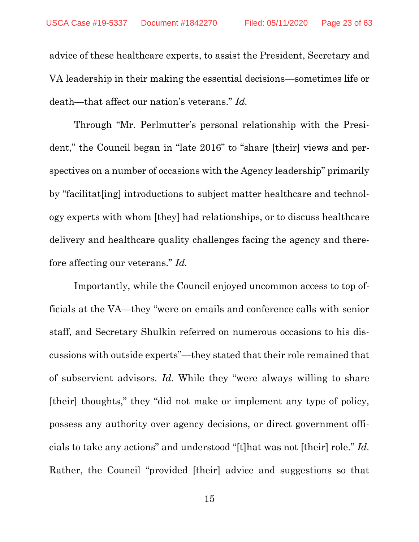advice of these healthcare experts, to assist the President, Secretary and VA leadership in their making the essential decisions—sometimes life or death—that affect our nation's veterans." *Id.*

Through "Mr. Perlmutter's personal relationship with the President," the Council began in "late 2016" to "share [their] views and perspectives on a number of occasions with the Agency leadership" primarily by "facilitat[ing] introductions to subject matter healthcare and technology experts with whom [they] had relationships, or to discuss healthcare delivery and healthcare quality challenges facing the agency and therefore affecting our veterans." *Id.*

Importantly, while the Council enjoyed uncommon access to top officials at the VA—they "were on emails and conference calls with senior staff, and Secretary Shulkin referred on numerous occasions to his discussions with outside experts"—they stated that their role remained that of subservient advisors. *Id.* While they "were always willing to share [their] thoughts," they "did not make or implement any type of policy, possess any authority over agency decisions, or direct government officials to take any actions" and understood "[t]hat was not [their] role." *Id.* Rather, the Council "provided [their] advice and suggestions so that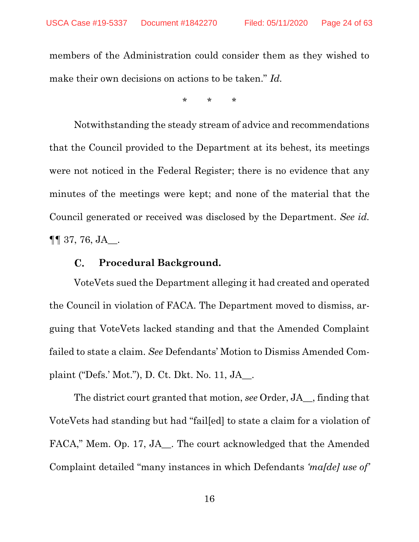members of the Administration could consider them as they wished to make their own decisions on actions to be taken." *Id.* 

\* \* \*

Notwithstanding the steady stream of advice and recommendations that the Council provided to the Department at its behest, its meetings were not noticed in the Federal Register; there is no evidence that any minutes of the meetings were kept; and none of the material that the Council generated or received was disclosed by the Department. *See id.*  $\P\P$  37, 76, JA\_.

#### **Procedural Background.**  $\mathbf{C}$ .

<span id="page-23-0"></span>VoteVets sued the Department alleging it had created and operated the Council in violation of FACA. The Department moved to dismiss, arguing that VoteVets lacked standing and that the Amended Complaint failed to state a claim. *See* Defendants' Motion to Dismiss Amended Complaint ("Defs.' Mot."), D. Ct. Dkt. No. 11, JA\_\_.

The district court granted that motion, *see* Order, JA\_\_, finding that VoteVets had standing but had "fail[ed] to state a claim for a violation of FACA," Mem. Op. 17, JA . The court acknowledged that the Amended Complaint detailed "many instances in which Defendants *'ma[de] use of'*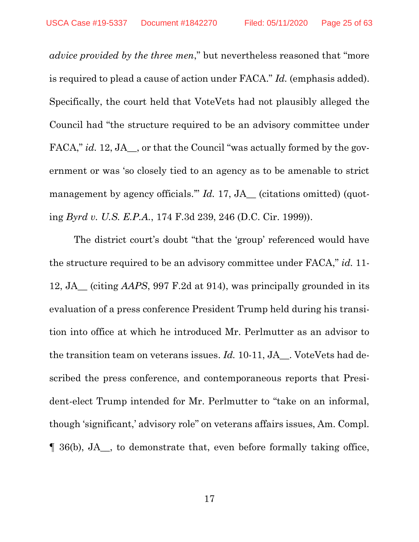*advice provided by the three men*," but nevertheless reasoned that "more is required to plead a cause of action under FACA." *Id.* (emphasis added). Specifically, the court held that VoteVets had not plausibly alleged the Council had "the structure required to be an advisory committee under FACA," *id.* 12, JA<sub>, or</sub> that the Council "was actually formed by the government or was 'so closely tied to an agency as to be amenable to strict management by agency officials." *Id.* 17, JA<sub>\_</sub> (citations omitted) (quoting *Byrd v. U.S. E.P.A.*, 174 F.3d 239, 246 (D.C. Cir. 1999)).

The district court's doubt "that the 'group' referenced would have the structure required to be an advisory committee under FACA," *id.* 11- 12, JA\_\_ (citing *AAPS*, 997 F.2d at 914), was principally grounded in its evaluation of a press conference President Trump held during his transition into office at which he introduced Mr. Perlmutter as an advisor to the transition team on veterans issues. *Id.* 10-11, JA\_\_. VoteVets had described the press conference, and contemporaneous reports that President-elect Trump intended for Mr. Perlmutter to "take on an informal, though 'significant,' advisory role" on veterans affairs issues, Am. Compl. ¶ 36(b), JA\_\_, to demonstrate that, even before formally taking office,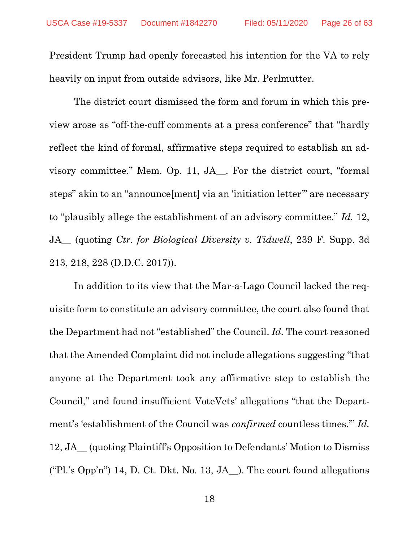President Trump had openly forecasted his intention for the VA to rely heavily on input from outside advisors, like Mr. Perlmutter.

The district court dismissed the form and forum in which this preview arose as "off-the-cuff comments at a press conference" that "hardly reflect the kind of formal, affirmative steps required to establish an advisory committee." Mem. Op. 11, JA\_\_. For the district court, "formal steps" akin to an "announce [ment] via an 'initiation letter'" are necessary to "plausibly allege the establishment of an advisory committee." *Id.* 12, JA\_\_ (quoting *Ctr. for Biological Diversity v. Tidwell*, 239 F. Supp. 3d 213, 218, 228 (D.D.C. 2017)).

In addition to its view that the Mar-a-Lago Council lacked the requisite form to constitute an advisory committee, the court also found that the Department had not "established" the Council. *Id.* The court reasoned that the Amended Complaint did not include allegations suggesting "that anyone at the Department took any affirmative step to establish the Council," and found insufficient VoteVets' allegations "that the Department's 'establishment of the Council was *confirmed* countless times.'" *Id.* 12, JA\_\_ (quoting Plaintiff's Opposition to Defendants' Motion to Dismiss ("Pl.'s Opp'n") 14, D. Ct. Dkt. No. 13, JA<sub>nd</sub>). The court found allegations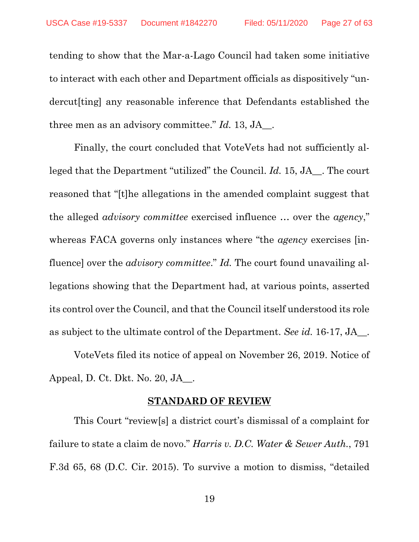tending to show that the Mar-a-Lago Council had taken some initiative to interact with each other and Department officials as dispositively "undercut[ting] any reasonable inference that Defendants established the three men as an advisory committee." *Id.* 13, JA\_\_.

Finally, the court concluded that VoteVets had not sufficiently alleged that the Department "utilized" the Council. *Id.* 15, JA\_\_. The court reasoned that "[t]he allegations in the amended complaint suggest that the alleged *advisory committee* exercised influence … over the *agency*," whereas FACA governs only instances where "the *agency* exercises [influence] over the *advisory committee*." *Id.* The court found unavailing allegations showing that the Department had, at various points, asserted its control over the Council, and that the Council itself understood its role as subject to the ultimate control of the Department. *See id.* 16-17, JA\_\_.

VoteVets filed its notice of appeal on November 26, 2019. Notice of Appeal, D. Ct. Dkt. No. 20, JA\_\_.

#### <span id="page-26-1"></span>**STANDARD OF REVIEW**

<span id="page-26-0"></span>This Court "review[s] a district court's dismissal of a complaint for failure to state a claim de novo." *Harris v. D.C. Water & Sewer Auth.*, 791 F.3d 65, 68 (D.C. Cir. 2015). To survive a motion to dismiss, "detailed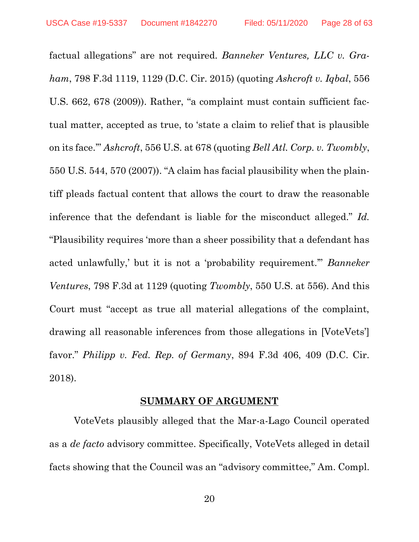<span id="page-27-1"></span>factual allegations" are not required. *Banneker Ventures, LLC v. Graham*, 798 F.3d 1119, 1129 (D.C. Cir. 2015) (quoting *Ashcroft v. Iqbal*, 556 U.S. 662, 678 (2009)). Rather, "a complaint must contain sufficient factual matter, accepted as true, to 'state a claim to relief that is plausible on its face.'" *Ashcroft*, 556 U.S. at 678 (quoting *Bell Atl. Corp. v. Twombly*, 550 U.S. 544, 570 (2007)). "A claim has facial plausibility when the plaintiff pleads factual content that allows the court to draw the reasonable inference that the defendant is liable for the misconduct alleged." *Id.* "Plausibility requires 'more than a sheer possibility that a defendant has acted unlawfully,' but it is not a 'probability requirement.'" *Banneker Ventures*, 798 F.3d at 1129 (quoting *Twombly*, 550 U.S. at 556). And this Court must "accept as true all material allegations of the complaint, drawing all reasonable inferences from those allegations in [VoteVets'] favor." *Philipp v. Fed. Rep. of Germany*, 894 F.3d 406, 409 (D.C. Cir. 2018).

#### <span id="page-27-2"></span>**SUMMARY OF ARGUMENT**

<span id="page-27-0"></span>VoteVets plausibly alleged that the Mar-a-Lago Council operated as a *de facto* advisory committee. Specifically, VoteVets alleged in detail facts showing that the Council was an "advisory committee," Am. Compl.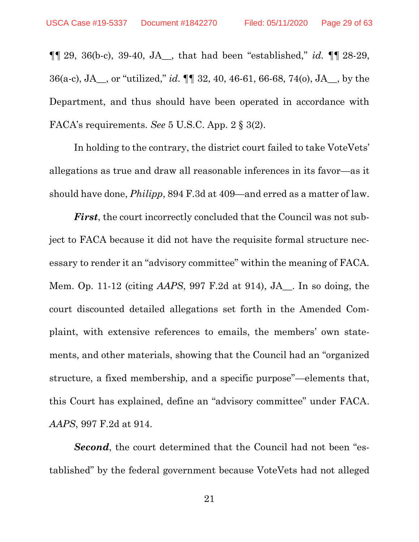¶¶ 29, 36(b-c), 39-40, JA\_\_, that had been "established," *id.* ¶¶ 28-29, 36(a-c), JA\_\_, or "utilized," *id.* ¶¶ 32, 40, 46-61, 66-68, 74(o), JA\_\_, by the Department, and thus should have been operated in accordance with FACA's requirements. *See* 5 U.S.C. App. 2 § 3(2).

<span id="page-28-2"></span>In holding to the contrary, the district court failed to take VoteVets' allegations as true and draw all reasonable inferences in its favor—as it should have done, *Philipp*, 894 F.3d at 409—and erred as a matter of law.

<span id="page-28-1"></span>*First*, the court incorrectly concluded that the Council was not subject to FACA because it did not have the requisite formal structure necessary to render it an "advisory committee" within the meaning of FACA. Mem. Op. 11-12 (citing *AAPS*, 997 F.2d at 914), JA\_\_. In so doing, the court discounted detailed allegations set forth in the Amended Complaint, with extensive references to emails, the members' own statements, and other materials, showing that the Council had an "organized structure, a fixed membership, and a specific purpose"—elements that, this Court has explained, define an "advisory committee" under FACA. *AAPS*, 997 F.2d at 914.

<span id="page-28-0"></span>*Second*, the court determined that the Council had not been "established" by the federal government because VoteVets had not alleged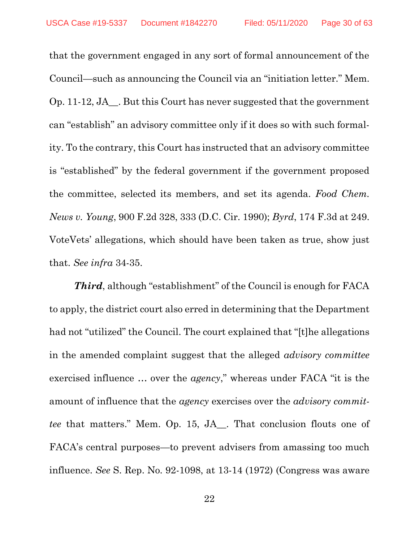that the government engaged in any sort of formal announcement of the Council—such as announcing the Council via an "initiation letter." Mem. Op. 11-12, JA $\blacksquare$ . But this Court has never suggested that the government can "establish" an advisory committee only if it does so with such formality. To the contrary, this Court has instructed that an advisory committee is "established" by the federal government if the government proposed the committee, selected its members, and set its agenda. *Food Chem. News v. Young*, 900 F.2d 328, 333 (D.C. Cir. 1990); *Byrd*, 174 F.3d at 249. VoteVets' allegations, which should have been taken as true, show just that. *See infra* 34-35.

<span id="page-29-2"></span><span id="page-29-1"></span><span id="page-29-0"></span>*Third*, although "establishment" of the Council is enough for FACA to apply, the district court also erred in determining that the Department had not "utilized" the Council. The court explained that "[t]he allegations in the amended complaint suggest that the alleged *advisory committee* exercised influence … over the *agency*," whereas under FACA "it is the amount of influence that the *agency* exercises over the *advisory committee* that matters." Mem. Op. 15, JA\_\_. That conclusion flouts one of FACA's central purposes—to prevent advisers from amassing too much influence. *See* S. Rep. No. 92-1098, at 13-14 (1972) (Congress was aware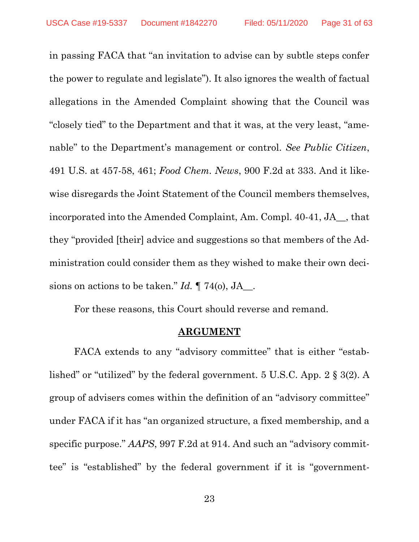<span id="page-30-2"></span>in passing FACA that "an invitation to advise can by subtle steps confer the power to regulate and legislate"). It also ignores the wealth of factual allegations in the Amended Complaint showing that the Council was "closely tied" to the Department and that it was, at the very least, "amenable" to the Department's management or control. *See Public Citizen*, 491 U.S. at 457-58, 461; *Food Chem. News*, 900 F.2d at 333. And it likewise disregards the Joint Statement of the Council members themselves, incorporated into the Amended Complaint, Am. Compl. 40-41, JA\_\_, that they "provided [their] advice and suggestions so that members of the Administration could consider them as they wished to make their own decisions on actions to be taken." *Id.* ¶ 74(o), JA\_\_.

For these reasons, this Court should reverse and remand.

#### <span id="page-30-4"></span><span id="page-30-3"></span><span id="page-30-1"></span>**ARGUMENT**

<span id="page-30-0"></span>FACA extends to any "advisory committee" that is either "established" or "utilized" by the federal government. 5 U.S.C. App. 2 § 3(2). A group of advisers comes within the definition of an "advisory committee" under FACA if it has "an organized structure, a fixed membership, and a specific purpose." *AAPS*, 997 F.2d at 914. And such an "advisory committee" is "established" by the federal government if it is "government-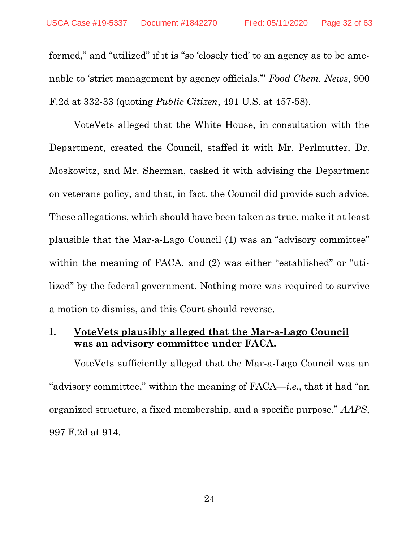<span id="page-31-2"></span>formed," and "utilized" if it is "so 'closely tied' to an agency as to be amenable to 'strict management by agency officials.'" *Food Chem. News*, 900 F.2d at 332-33 (quoting *Public Citizen*, 491 U.S. at 457-58).

VoteVets alleged that the White House, in consultation with the Department, created the Council, staffed it with Mr. Perlmutter, Dr. Moskowitz, and Mr. Sherman, tasked it with advising the Department on veterans policy, and that, in fact, the Council did provide such advice. These allegations, which should have been taken as true, make it at least plausible that the Mar-a-Lago Council (1) was an "advisory committee" within the meaning of FACA, and (2) was either "established" or "utilized" by the federal government. Nothing more was required to survive a motion to dismiss, and this Court should reverse.

# <span id="page-31-0"></span>**I. VoteVets plausibly alleged that the Mar-a-Lago Council was an advisory committee under FACA.**

<span id="page-31-1"></span>VoteVets sufficiently alleged that the Mar-a-Lago Council was an "advisory committee," within the meaning of FACA—*i.e.*, that it had "an organized structure, a fixed membership, and a specific purpose." *AAPS*, 997 F.2d at 914.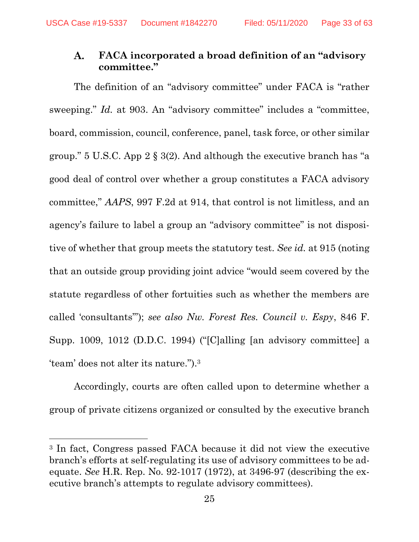#### <span id="page-32-0"></span>**FACA incorporated a broad definition of an "advisory**  A. **committee."**

<span id="page-32-3"></span><span id="page-32-1"></span>The definition of an "advisory committee" under FACA is "rather sweeping." *Id.* at 903. An "advisory committee" includes a "committee, board, commission, council, conference, panel, task force, or other similar group." 5 U.S.C. App 2 § 3(2). And although the executive branch has "a good deal of control over whether a group constitutes a FACA advisory committee," *AAPS*, 997 F.2d at 914, that control is not limitless, and an agency's failure to label a group an "advisory committee" is not dispositive of whether that group meets the statutory test. *See id.* at 915 (noting that an outside group providing joint advice "would seem covered by the statute regardless of other fortuities such as whether the members are called 'consultants'"); *see also Nw. Forest Res. Council v. Espy*, 846 F. Supp. 1009, 1012 (D.D.C. 1994) ("[C]alling [an advisory committee] a 'team' does not alter its nature.").<sup>3</sup>

<span id="page-32-2"></span>Accordingly, courts are often called upon to determine whether a group of private citizens organized or consulted by the executive branch

<sup>3</sup> In fact, Congress passed FACA because it did not view the executive branch's efforts at self-regulating its use of advisory committees to be adequate. *See* H.R. Rep. No. 92-1017 (1972), at 3496-97 (describing the executive branch's attempts to regulate advisory committees).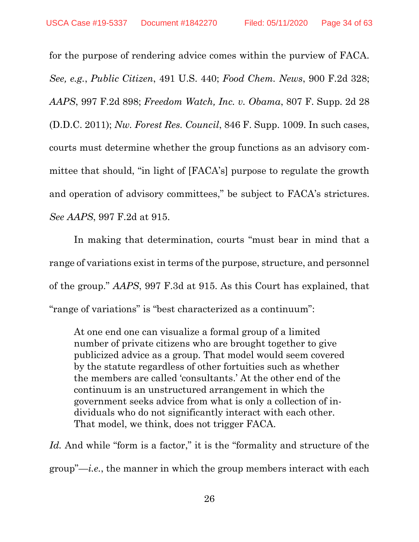<span id="page-33-3"></span><span id="page-33-2"></span><span id="page-33-1"></span><span id="page-33-0"></span>for the purpose of rendering advice comes within the purview of FACA. *See, e.g.*, *Public Citizen*, 491 U.S. 440; *Food Chem. News*, 900 F.2d 328; *AAPS*, 997 F.2d 898; *Freedom Watch, Inc. v. Obama*, 807 F. Supp. 2d 28 (D.D.C. 2011); *Nw. Forest Res. Council*, 846 F. Supp. 1009. In such cases, courts must determine whether the group functions as an advisory committee that should, "in light of [FACA's] purpose to regulate the growth and operation of advisory committees," be subject to FACA's strictures. *See AAPS*, 997 F.2d at 915.

In making that determination, courts "must bear in mind that a range of variations exist in terms of the purpose, structure, and personnel of the group." *AAPS*, 997 F.3d at 915. As this Court has explained, that "range of variations" is "best characterized as a continuum":

At one end one can visualize a formal group of a limited number of private citizens who are brought together to give publicized advice as a group. That model would seem covered by the statute regardless of other fortuities such as whether the members are called 'consultants.' At the other end of the continuum is an unstructured arrangement in which the government seeks advice from what is only a collection of individuals who do not significantly interact with each other. That model, we think, does not trigger FACA.

Id. And while "form is a factor," it is the "formality and structure of the group"—*i.e.*, the manner in which the group members interact with each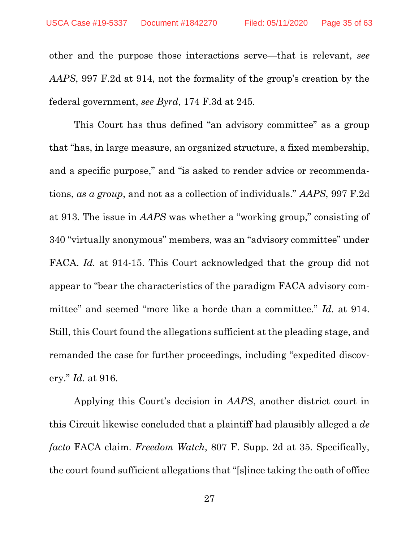<span id="page-34-0"></span>other and the purpose those interactions serve—that is relevant, *see AAPS*, 997 F.2d at 914, not the formality of the group's creation by the federal government, *see Byrd*, 174 F.3d at 245.

<span id="page-34-1"></span>This Court has thus defined "an advisory committee" as a group that "has, in large measure, an organized structure, a fixed membership, and a specific purpose," and "is asked to render advice or recommendations, *as a group*, and not as a collection of individuals." *AAPS*, 997 F.2d at 913. The issue in *AAPS* was whether a "working group," consisting of 340 "virtually anonymous" members, was an "advisory committee" under FACA. *Id.* at 914-15. This Court acknowledged that the group did not appear to "bear the characteristics of the paradigm FACA advisory committee" and seemed "more like a horde than a committee." *Id.* at 914. Still, this Court found the allegations sufficient at the pleading stage, and remanded the case for further proceedings, including "expedited discovery." *Id.* at 916.

<span id="page-34-2"></span>Applying this Court's decision in *AAPS*, another district court in this Circuit likewise concluded that a plaintiff had plausibly alleged a *de facto* FACA claim. *Freedom Watch*, 807 F. Supp. 2d at 35. Specifically, the court found sufficient allegations that "[s]ince taking the oath of office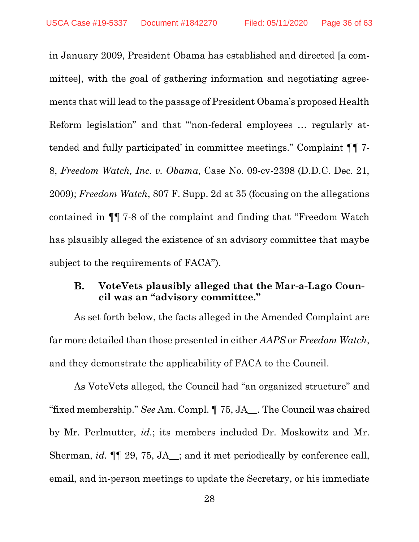<span id="page-35-2"></span>in January 2009, President Obama has established and directed [a committee], with the goal of gathering information and negotiating agreements that will lead to the passage of President Obama's proposed Health Reform legislation" and that "non-federal employees ... regularly attended and fully participated' in committee meetings." Complaint ¶¶ 7- 8, *Freedom Watch, Inc. v. Obama*, Case No. 09-cv-2398 (D.D.C. Dec. 21, 2009); *Freedom Watch*, 807 F. Supp. 2d at 35 (focusing on the allegations contained in ¶¶ 7-8 of the complaint and finding that "Freedom Watch has plausibly alleged the existence of an advisory committee that maybe subject to the requirements of FACA").

#### <span id="page-35-1"></span><span id="page-35-0"></span>В. **VoteVets plausibly alleged that the Mar-a-Lago Council was an "advisory committee."**

As set forth below, the facts alleged in the Amended Complaint are far more detailed than those presented in either *AAPS* or *Freedom Watch*, and they demonstrate the applicability of FACA to the Council.

As VoteVets alleged, the Council had "an organized structure" and "fixed membership." *See* Am. Compl. ¶ 75, JA\_\_. The Council was chaired by Mr. Perlmutter, *id.*; its members included Dr. Moskowitz and Mr. Sherman, *id.* ¶¶ 29, 75, JA\_\_; and it met periodically by conference call, email, and in-person meetings to update the Secretary, or his immediate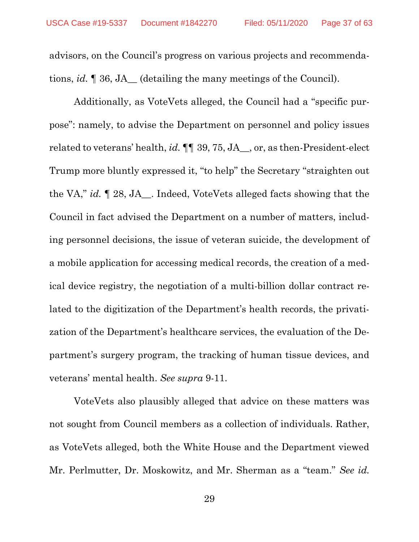advisors, on the Council's progress on various projects and recommendations, *id.* ¶ 36, JA\_\_ (detailing the many meetings of the Council).

Additionally, as VoteVets alleged, the Council had a "specific purpose": namely, to advise the Department on personnel and policy issues related to veterans' health, *id.* ¶¶ 39, 75, JA\_\_, or, as then-President-elect Trump more bluntly expressed it, "to help" the Secretary "straighten out the VA," *id.* ¶ 28, JA\_\_. Indeed, VoteVets alleged facts showing that the Council in fact advised the Department on a number of matters, including personnel decisions, the issue of veteran suicide, the development of a mobile application for accessing medical records, the creation of a medical device registry, the negotiation of a multi-billion dollar contract related to the digitization of the Department's health records, the privatization of the Department's healthcare services, the evaluation of the Department's surgery program, the tracking of human tissue devices, and veterans' mental health. *See supra* 9-11.

VoteVets also plausibly alleged that advice on these matters was not sought from Council members as a collection of individuals. Rather, as VoteVets alleged, both the White House and the Department viewed Mr. Perlmutter, Dr. Moskowitz, and Mr. Sherman as a "team." *See id.*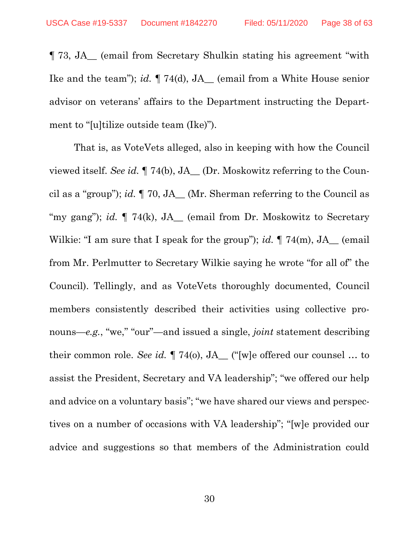¶ 73, JA\_\_ (email from Secretary Shulkin stating his agreement "with Ike and the team"); *id.* ¶ 74(d), JA\_\_ (email from a White House senior advisor on veterans' affairs to the Department instructing the Department to "[u]tilize outside team (Ike)").

That is, as VoteVets alleged, also in keeping with how the Council viewed itself. *See id.* ¶ 74(b), JA\_\_ (Dr. Moskowitz referring to the Council as a "group"); *id.* ¶ 70, JA\_\_ (Mr. Sherman referring to the Council as "my gang"); *id.*  $\P$  74(k), JA<sub>—</sub> (email from Dr. Moskowitz to Secretary Wilkie: "I am sure that I speak for the group"); *id.*  $\P$  74(m), JA<sub>—</sub> (email from Mr. Perlmutter to Secretary Wilkie saying he wrote "for all of" the Council). Tellingly, and as VoteVets thoroughly documented, Council members consistently described their activities using collective pronouns—*e.g.*, "we," "our"—and issued a single, *joint* statement describing their common role. *See id.* ¶ 74(o), JA\_\_ ("[w]e offered our counsel … to assist the President, Secretary and VA leadership"; "we offered our help and advice on a voluntary basis"; "we have shared our views and perspectives on a number of occasions with VA leadership"; "[w]e provided our advice and suggestions so that members of the Administration could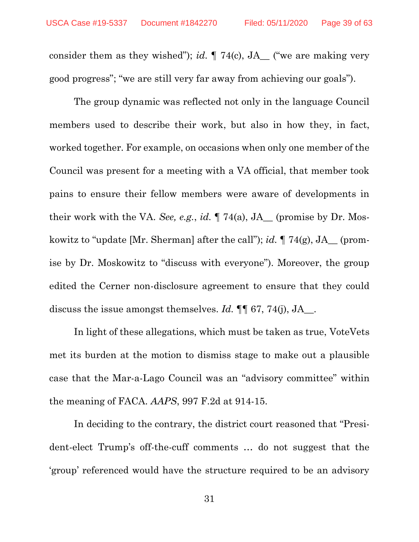consider them as they wished"); *id.* ¶ 74(c), JA\_\_ ("we are making very good progress"; "we are still very far away from achieving our goals").

The group dynamic was reflected not only in the language Council members used to describe their work, but also in how they, in fact, worked together. For example, on occasions when only one member of the Council was present for a meeting with a VA official, that member took pains to ensure their fellow members were aware of developments in their work with the VA. *See, e.g.*, *id.* ¶ 74(a), JA\_\_ (promise by Dr. Moskowitz to "update [Mr. Sherman] after the call"); *id.* ¶ 74(g), JA\_\_ (promise by Dr. Moskowitz to "discuss with everyone"). Moreover, the group edited the Cerner non-disclosure agreement to ensure that they could discuss the issue amongst themselves. *Id.* **[1]** 67, 74(j), JA...

In light of these allegations, which must be taken as true, VoteVets met its burden at the motion to dismiss stage to make out a plausible case that the Mar-a-Lago Council was an "advisory committee" within the meaning of FACA. *AAPS*, 997 F.2d at 914-15.

<span id="page-38-0"></span>In deciding to the contrary, the district court reasoned that "President-elect Trump's off-the-cuff comments … do not suggest that the 'group' referenced would have the structure required to be an advisory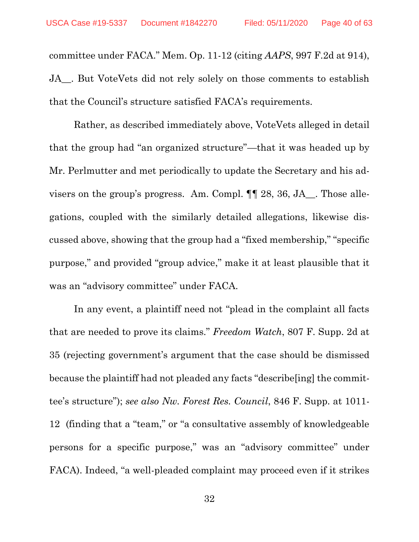committee under FACA." Mem. Op. 11-12 (citing *AAPS*, 997 F.2d at 914), JA . But VoteVets did not rely solely on those comments to establish that the Council's structure satisfied FACA's requirements.

Rather, as described immediately above, VoteVets alleged in detail that the group had "an organized structure"—that it was headed up by Mr. Perlmutter and met periodically to update the Secretary and his advisers on the group's progress. Am. Compl. ¶¶ 28, 36, JA\_\_. Those allegations, coupled with the similarly detailed allegations, likewise discussed above, showing that the group had a "fixed membership," "specific purpose," and provided "group advice," make it at least plausible that it was an "advisory committee" under FACA.

<span id="page-39-1"></span><span id="page-39-0"></span>In any event, a plaintiff need not "plead in the complaint all facts that are needed to prove its claims." *Freedom Watch*, 807 F. Supp. 2d at 35 (rejecting government's argument that the case should be dismissed because the plaintiff had not pleaded any facts "describe[ing] the committee's structure"); *see also Nw. Forest Res. Council*, 846 F. Supp. at 1011- 12 (finding that a "team," or "a consultative assembly of knowledgeable persons for a specific purpose," was an "advisory committee" under FACA). Indeed, "a well-pleaded complaint may proceed even if it strikes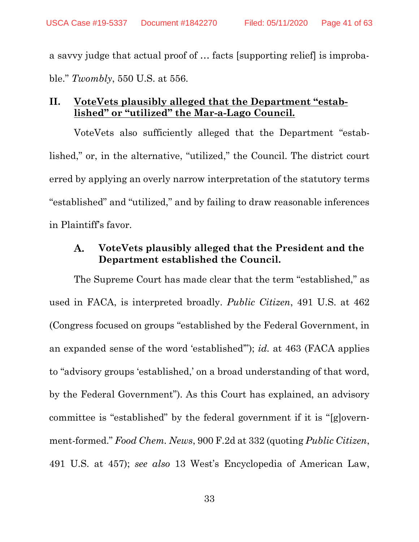a savvy judge that actual proof of … facts [supporting relief] is improbable." *Twombly*, 550 U.S. at 556.

# <span id="page-40-0"></span>**II. VoteVets plausibly alleged that the Department "established" or "utilized" the Mar-a-Lago Council.**

VoteVets also sufficiently alleged that the Department "established," or, in the alternative, "utilized," the Council. The district court erred by applying an overly narrow interpretation of the statutory terms "established" and "utilized," and by failing to draw reasonable inferences in Plaintiff's favor.

#### <span id="page-40-3"></span><span id="page-40-1"></span>A. **VoteVets plausibly alleged that the President and the Department established the Council.**

<span id="page-40-2"></span>The Supreme Court has made clear that the term "established," as used in FACA, is interpreted broadly. *Public Citizen*, 491 U.S. at 462 (Congress focused on groups "established by the Federal Government, in an expanded sense of the word 'established'"); *id.* at 463 (FACA applies to "advisory groups 'established,' on a broad understanding of that word, by the Federal Government"). As this Court has explained, an advisory committee is "established" by the federal government if it is "[g]overnment-formed." *Food Chem. News*, 900 F.2d at 332 (quoting *Public Citizen*, 491 U.S. at 457); *see also* 13 West's Encyclopedia of American Law,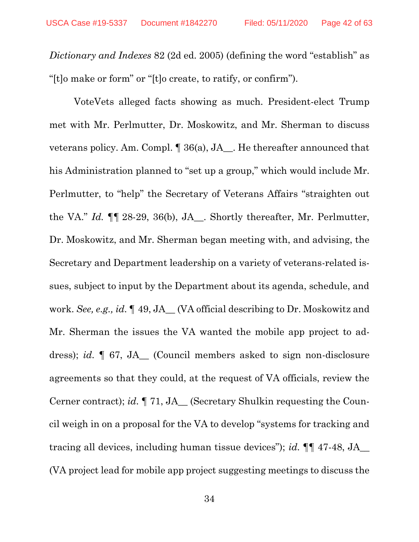*Dictionary and Indexes* 82 (2d ed. 2005) (defining the word "establish" as "[t]o make or form" or "[t]o create, to ratify, or confirm").

VoteVets alleged facts showing as much. President-elect Trump met with Mr. Perlmutter, Dr. Moskowitz, and Mr. Sherman to discuss veterans policy. Am. Compl. ¶ 36(a), JA\_\_. He thereafter announced that his Administration planned to "set up a group," which would include Mr. Perlmutter, to "help" the Secretary of Veterans Affairs "straighten out the VA." *Id.* ¶¶ 28-29, 36(b), JA\_\_. Shortly thereafter, Mr. Perlmutter, Dr. Moskowitz, and Mr. Sherman began meeting with, and advising, the Secretary and Department leadership on a variety of veterans-related issues, subject to input by the Department about its agenda, schedule, and work. *See, e.g., id.* ¶ 49, JA\_\_ (VA official describing to Dr. Moskowitz and Mr. Sherman the issues the VA wanted the mobile app project to address); *id.* ¶ 67, JA\_\_ (Council members asked to sign non-disclosure agreements so that they could, at the request of VA officials, review the Cerner contract); *id.* ¶ 71, JA\_\_ (Secretary Shulkin requesting the Council weigh in on a proposal for the VA to develop "systems for tracking and tracing all devices, including human tissue devices"); *id.* ¶¶ 47-48, JA\_\_ (VA project lead for mobile app project suggesting meetings to discuss the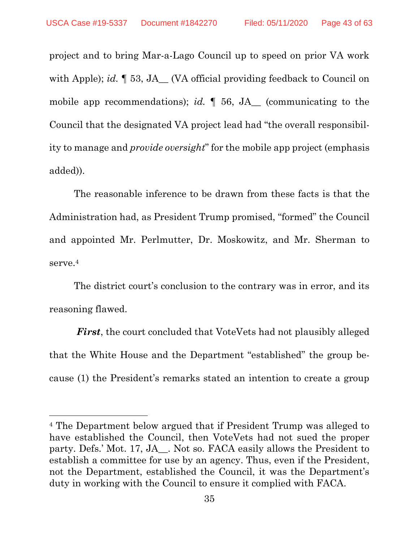project and to bring Mar-a-Lago Council up to speed on prior VA work with Apple); *id.* [53, JA\_ (VA official providing feedback to Council on mobile app recommendations); *id.*  $\parallel$  56, JA (communicating to the Council that the designated VA project lead had "the overall responsibility to manage and *provide oversight*" for the mobile app project (emphasis added)).

The reasonable inference to be drawn from these facts is that the Administration had, as President Trump promised, "formed" the Council and appointed Mr. Perlmutter, Dr. Moskowitz, and Mr. Sherman to serve. 4

The district court's conclusion to the contrary was in error, and its reasoning flawed.

*First*, the court concluded that VoteVets had not plausibly alleged that the White House and the Department "established" the group because (1) the President's remarks stated an intention to create a group

<sup>4</sup> The Department below argued that if President Trump was alleged to have established the Council, then VoteVets had not sued the proper party. Defs.' Mot. 17, JA\_\_. Not so. FACA easily allows the President to establish a committee for use by an agency. Thus, even if the President, not the Department, established the Council, it was the Department's duty in working with the Council to ensure it complied with FACA.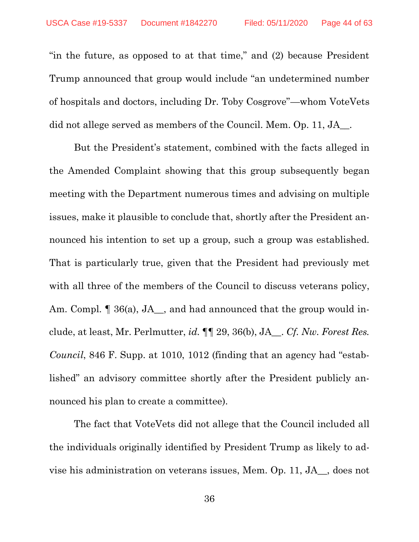"in the future, as opposed to at that time," and (2) because President Trump announced that group would include "an undetermined number of hospitals and doctors, including Dr. Toby Cosgrove"—whom VoteVets did not allege served as members of the Council. Mem. Op. 11, JA\_.

But the President's statement, combined with the facts alleged in the Amended Complaint showing that this group subsequently began meeting with the Department numerous times and advising on multiple issues, make it plausible to conclude that, shortly after the President announced his intention to set up a group, such a group was established. That is particularly true, given that the President had previously met with all three of the members of the Council to discuss veterans policy, Am. Compl.  $\lceil 36(a), JA_{\ldots} \rceil$ , and had announced that the group would include, at least, Mr. Perlmutter, *id.* ¶¶ 29, 36(b), JA\_\_. *Cf. Nw. Forest Res. Council*, 846 F. Supp. at 1010, 1012 (finding that an agency had "established" an advisory committee shortly after the President publicly announced his plan to create a committee).

<span id="page-43-0"></span>The fact that VoteVets did not allege that the Council included all the individuals originally identified by President Trump as likely to advise his administration on veterans issues, Mem. Op. 11, JA\_\_, does not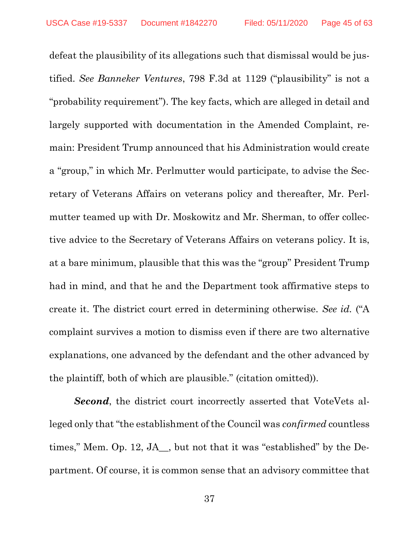<span id="page-44-0"></span>defeat the plausibility of its allegations such that dismissal would be justified. *See Banneker Ventures*, 798 F.3d at 1129 ("plausibility" is not a "probability requirement"). The key facts, which are alleged in detail and largely supported with documentation in the Amended Complaint, remain: President Trump announced that his Administration would create a "group," in which Mr. Perlmutter would participate, to advise the Secretary of Veterans Affairs on veterans policy and thereafter, Mr. Perlmutter teamed up with Dr. Moskowitz and Mr. Sherman, to offer collective advice to the Secretary of Veterans Affairs on veterans policy. It is, at a bare minimum, plausible that this was the "group" President Trump had in mind, and that he and the Department took affirmative steps to create it. The district court erred in determining otherwise. *See id.* ("A complaint survives a motion to dismiss even if there are two alternative explanations, one advanced by the defendant and the other advanced by the plaintiff, both of which are plausible." (citation omitted)).

*Second*, the district court incorrectly asserted that VoteVets alleged only that "the establishment of the Council was *confirmed* countless times," Mem. Op. 12, JA\_\_, but not that it was "established" by the Department. Of course, it is common sense that an advisory committee that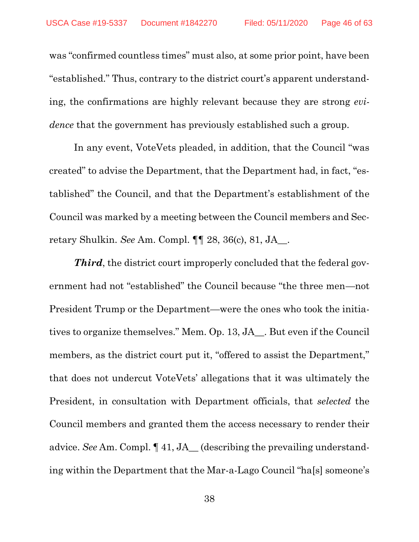was "confirmed countless times" must also, at some prior point, have been "established." Thus, contrary to the district court's apparent understanding, the confirmations are highly relevant because they are strong *evidence* that the government has previously established such a group.

In any event, VoteVets pleaded, in addition, that the Council "was created" to advise the Department, that the Department had, in fact, "established" the Council, and that the Department's establishment of the Council was marked by a meeting between the Council members and Secretary Shulkin. *See* Am. Compl. ¶¶ 28, 36(c), 81, JA\_\_.

*Third*, the district court improperly concluded that the federal government had not "established" the Council because "the three men—not President Trump or the Department—were the ones who took the initiatives to organize themselves." Mem. Op. 13, JA\_\_. But even if the Council members, as the district court put it, "offered to assist the Department," that does not undercut VoteVets' allegations that it was ultimately the President, in consultation with Department officials, that *selected* the Council members and granted them the access necessary to render their advice. *See* Am. Compl. ¶ 41, JA\_\_ (describing the prevailing understanding within the Department that the Mar-a-Lago Council "ha[s] someone's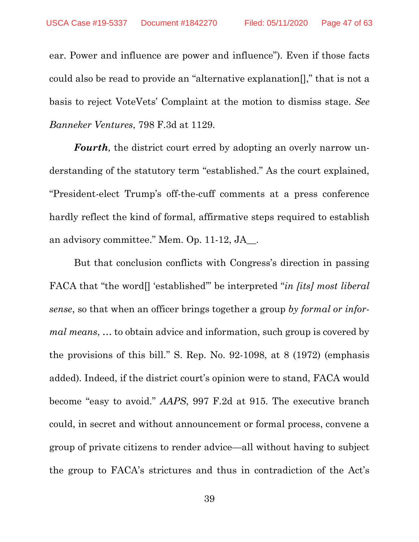ear. Power and influence are power and influence"). Even if those facts could also be read to provide an "alternative explanation[]," that is not a basis to reject VoteVets' Complaint at the motion to dismiss stage. *See Banneker Ventures*, 798 F.3d at 1129.

<span id="page-46-1"></span>*Fourth,* the district court erred by adopting an overly narrow understanding of the statutory term "established." As the court explained, "President-elect Trump's off-the-cuff comments at a press conference hardly reflect the kind of formal, affirmative steps required to establish an advisory committee." Mem. Op. 11-12, JA\_\_.

<span id="page-46-0"></span>But that conclusion conflicts with Congress's direction in passing FACA that "the word[] 'established'" be interpreted "*in [its] most liberal sense*, so that when an officer brings together a group *by formal or informal means*, … to obtain advice and information, such group is covered by the provisions of this bill." S. Rep. No. 92-1098, at 8 (1972) (emphasis added). Indeed, if the district court's opinion were to stand, FACA would become "easy to avoid." *AAPS*, 997 F.2d at 915. The executive branch could, in secret and without announcement or formal process, convene a group of private citizens to render advice—all without having to subject the group to FACA's strictures and thus in contradiction of the Act's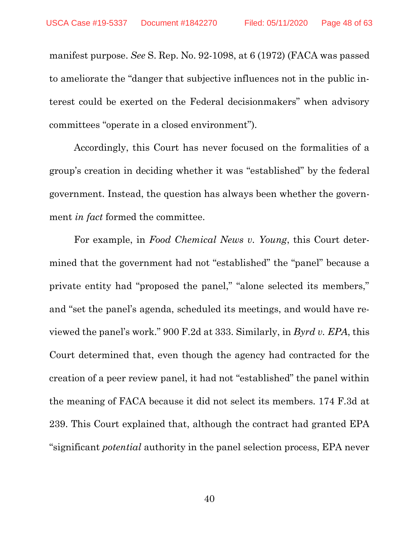manifest purpose. *See* S. Rep. No. 92-1098, at 6 (1972) (FACA was passed to ameliorate the "danger that subjective influences not in the public interest could be exerted on the Federal decisionmakers" when advisory committees "operate in a closed environment").

Accordingly, this Court has never focused on the formalities of a group's creation in deciding whether it was "established" by the federal government. Instead, the question has always been whether the government *in fact* formed the committee.

<span id="page-47-1"></span><span id="page-47-0"></span>For example, in *Food Chemical News v. Young*, this Court determined that the government had not "established" the "panel" because a private entity had "proposed the panel," "alone selected its members," and "set the panel's agenda, scheduled its meetings, and would have reviewed the panel's work." 900 F.2d at 333. Similarly, in *Byrd v. EPA*, this Court determined that, even though the agency had contracted for the creation of a peer review panel, it had not "established" the panel within the meaning of FACA because it did not select its members. 174 F.3d at 239. This Court explained that, although the contract had granted EPA "significant *potential* authority in the panel selection process, EPA never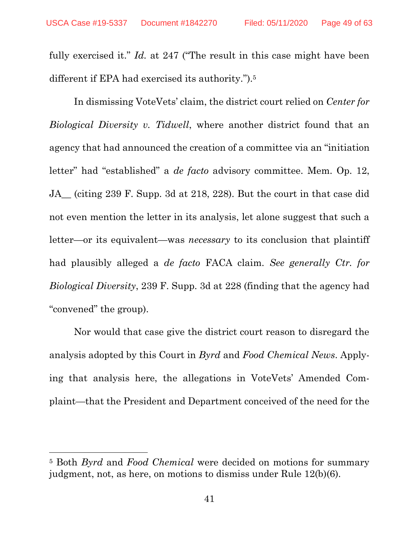<span id="page-48-0"></span>fully exercised it." *Id.* at 247 ("The result in this case might have been different if EPA had exercised its authority.").<sup>5</sup>

In dismissing VoteVets' claim, the district court relied on *Center for Biological Diversity v. Tidwell*, where another district found that an agency that had announced the creation of a committee via an "initiation letter" had "established" a *de facto* advisory committee. Mem. Op. 12, JA\_\_ (citing 239 F. Supp. 3d at 218, 228). But the court in that case did not even mention the letter in its analysis, let alone suggest that such a letter—or its equivalent—was *necessary* to its conclusion that plaintiff had plausibly alleged a *de facto* FACA claim. *See generally Ctr. for Biological Diversity*, 239 F. Supp. 3d at 228 (finding that the agency had "convened" the group).

Nor would that case give the district court reason to disregard the analysis adopted by this Court in *Byrd* and *Food Chemical News*. Applying that analysis here, the allegations in VoteVets' Amended Complaint—that the President and Department conceived of the need for the

<sup>5</sup> Both *Byrd* and *Food Chemical* were decided on motions for summary judgment, not, as here, on motions to dismiss under Rule 12(b)(6).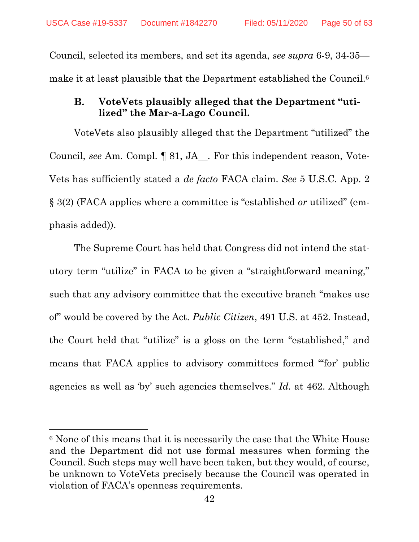Council, selected its members, and set its agenda, *see supra* 6-9, 34-35 make it at least plausible that the Department established the Council. 6

#### <span id="page-49-2"></span><span id="page-49-0"></span>**B. VoteVets plausibly alleged that the Department "utilized" the Mar-a-Lago Council.**

VoteVets also plausibly alleged that the Department "utilized" the Council, *see* Am. Compl. ¶ 81, JA\_\_. For this independent reason, Vote-Vets has sufficiently stated a *de facto* FACA claim. *See* 5 U.S.C. App. 2 § 3(2) (FACA applies where a committee is "established *or* utilized" (emphasis added)).

<span id="page-49-1"></span>The Supreme Court has held that Congress did not intend the statutory term "utilize" in FACA to be given a "straightforward meaning," such that any advisory committee that the executive branch "makes use of" would be covered by the Act. *Public Citizen*, 491 U.S. at 452. Instead, the Court held that "utilize" is a gloss on the term "established," and means that FACA applies to advisory committees formed "'for' public agencies as well as 'by' such agencies themselves." *Id.* at 462. Although

<sup>6</sup> None of this means that it is necessarily the case that the White House and the Department did not use formal measures when forming the Council. Such steps may well have been taken, but they would, of course, be unknown to VoteVets precisely because the Council was operated in violation of FACA's openness requirements.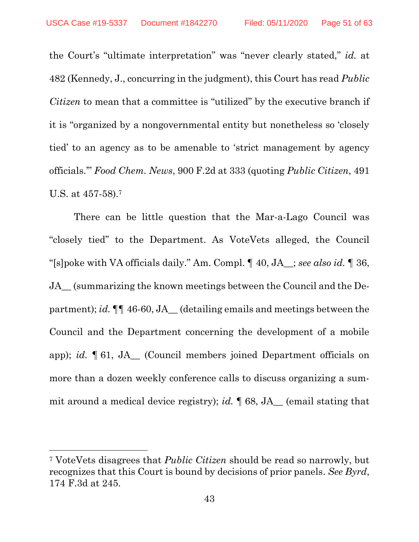<span id="page-50-2"></span>the Court's "ultimate interpretation" was "never clearly stated," *id.* at 482 (Kennedy, J., concurring in the judgment), this Court has read *Public Citizen* to mean that a committee is "utilized" by the executive branch if it is "organized by a nongovernmental entity but nonetheless so 'closely tied' to an agency as to be amenable to 'strict management by agency officials.'" *Food Chem. News*, 900 F.2d at 333 (quoting *Public Citizen*, 491 U.S. at 457-58).<sup>7</sup>

<span id="page-50-1"></span>There can be little question that the Mar-a-Lago Council was "closely tied" to the Department. As VoteVets alleged, the Council "[s]poke with VA officials daily." Am. Compl. ¶ 40, JA\_\_; *see also id.* ¶ 36, JA\_\_ (summarizing the known meetings between the Council and the Department); *id.*  $\P\P$  46-60, JA (detailing emails and meetings between the Council and the Department concerning the development of a mobile app); *id.* ¶ 61, JA\_\_ (Council members joined Department officials on more than a dozen weekly conference calls to discuss organizing a summit around a medical device registry); *id.* ¶ 68, JA\_\_ (email stating that

<span id="page-50-0"></span><sup>7</sup> VoteVets disagrees that *Public Citizen* should be read so narrowly, but recognizes that this Court is bound by decisions of prior panels. *See Byrd*, 174 F.3d at 245.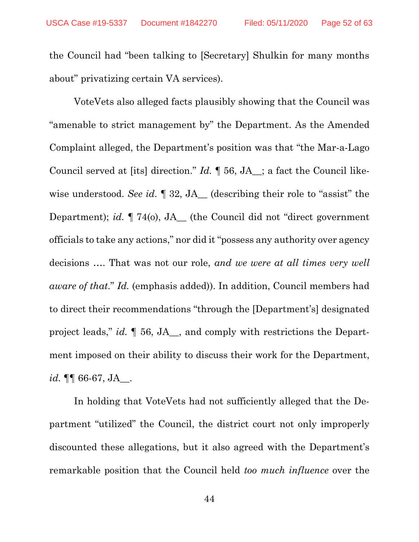the Council had "been talking to [Secretary] Shulkin for many months about" privatizing certain VA services).

VoteVets also alleged facts plausibly showing that the Council was "amenable to strict management by" the Department. As the Amended Complaint alleged, the Department's position was that "the Mar-a-Lago Council served at [its] direction." *Id.* ¶ 56, JA\_\_; a fact the Council likewise understood. *See id.*  $\P$  32, JA<sub>\_</sub> (describing their role to "assist" the Department); *id.* ¶ 74(o), JA\_\_ (the Council did not "direct government officials to take any actions," nor did it "possess any authority over agency decisions …. That was not our role, *and we were at all times very well aware of that*." *Id.* (emphasis added)). In addition, Council members had to direct their recommendations "through the [Department's] designated project leads," *id.* ¶ 56, JA\_\_, and comply with restrictions the Department imposed on their ability to discuss their work for the Department, *id.* ¶¶ 66-67, JA\_\_.

In holding that VoteVets had not sufficiently alleged that the Department "utilized" the Council, the district court not only improperly discounted these allegations, but it also agreed with the Department's remarkable position that the Council held *too much influence* over the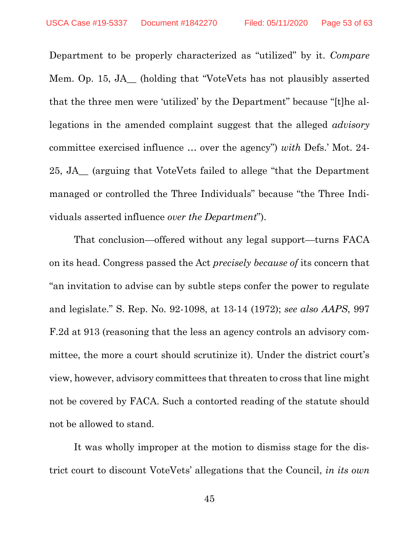Department to be properly characterized as "utilized" by it. *Compare*  Mem. Op. 15, JA\_\_ (holding that "VoteVets has not plausibly asserted that the three men were 'utilized' by the Department" because "[t]he allegations in the amended complaint suggest that the alleged *advisory* committee exercised influence … over the agency") *with* Defs.' Mot. 24- 25, JA\_\_ (arguing that VoteVets failed to allege "that the Department managed or controlled the Three Individuals" because "the Three Individuals asserted influence *over the Department*").

<span id="page-52-1"></span><span id="page-52-0"></span>That conclusion—offered without any legal support—turns FACA on its head. Congress passed the Act *precisely because of* its concern that "an invitation to advise can by subtle steps confer the power to regulate and legislate." S. Rep. No. 92-1098, at 13-14 (1972); *see also AAPS*, 997 F.2d at 913 (reasoning that the less an agency controls an advisory committee, the more a court should scrutinize it). Under the district court's view, however, advisory committees that threaten to cross that line might not be covered by FACA. Such a contorted reading of the statute should not be allowed to stand.

It was wholly improper at the motion to dismiss stage for the district court to discount VoteVets' allegations that the Council, *in its own*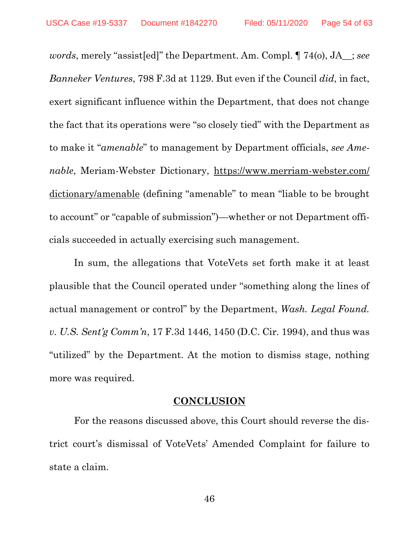<span id="page-53-1"></span>*words*, merely "assist[ed]" the Department. Am. Compl. ¶ 74(o), JA\_\_; *see Banneker Ventures*, 798 F.3d at 1129. But even if the Council *did*, in fact, exert significant influence within the Department, that does not change the fact that its operations were "so closely tied" with the Department as to make it "*amenable*" to management by Department officials, *see Amenable*, Meriam-Webster Dictionary, https://www.merriam-webster.com/ dictionary/amenable (defining "amenable" to mean "liable to be brought to account" or "capable of submission")—whether or not Department officials succeeded in actually exercising such management.

In sum, the allegations that VoteVets set forth make it at least plausible that the Council operated under "something along the lines of actual management or control" by the Department, *Wash. Legal Found. v. U.S. Sent'g Comm'n*, 17 F.3d 1446, 1450 (D.C. Cir. 1994), and thus was "utilized" by the Department. At the motion to dismiss stage, nothing more was required.

#### <span id="page-53-2"></span>**CONCLUSION**

<span id="page-53-0"></span>For the reasons discussed above, this Court should reverse the district court's dismissal of VoteVets' Amended Complaint for failure to state a claim.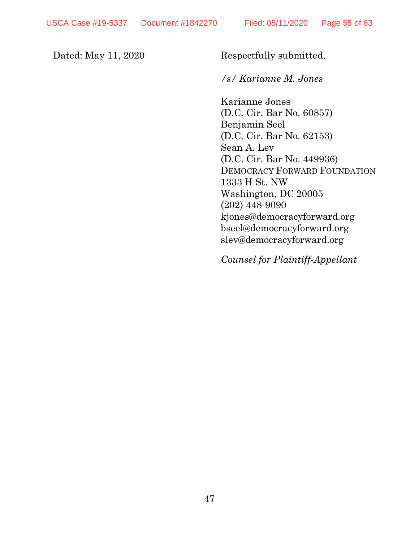Dated: May 11, 2020 Respectfully submitted,

## */s/ Karianne M. Jones*

Karianne Jones (D.C. Cir. Bar No. 60857) Benjamin Seel (D.C. Cir. Bar No. 62153) Sean A. Lev (D.C. Cir. Bar No. 449936) DEMOCRACY FORWARD FOUNDATION 1333 H St. NW Washington, DC 20005 (202) 448-9090 [kjones@democracyforward.org](mailto:kjones@democracyforward.org) bseel@democracyforward.org slev@democracyforward.org

*Counsel for Plaintiff-Appellant*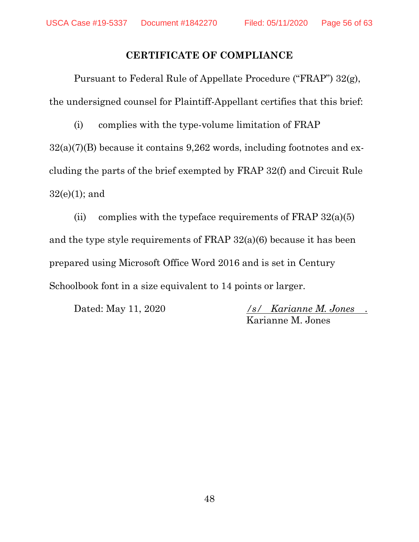# **CERTIFICATE OF COMPLIANCE**

Pursuant to Federal Rule of Appellate Procedure ("FRAP") 32(g), the undersigned counsel for Plaintiff-Appellant certifies that this brief:

(i) complies with the type-volume limitation of FRAP  $32(a)(7)(B)$  because it contains 9,262 words, including footnotes and excluding the parts of the brief exempted by FRAP 32(f) and Circuit Rule  $32(e)(1)$ ; and

(ii) complies with the typeface requirements of FRAP  $32(a)(5)$ and the type style requirements of FRAP 32(a)(6) because it has been prepared using Microsoft Office Word 2016 and is set in Century Schoolbook font in a size equivalent to 14 points or larger.

Dated: May 11, 2020 */s/ Karianne M. Jones .* Karianne M. Jones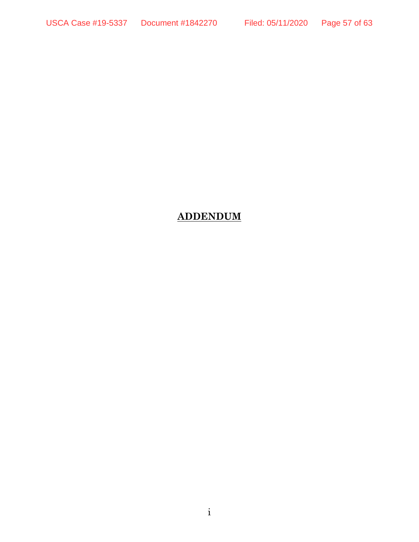# **ADDENDUM**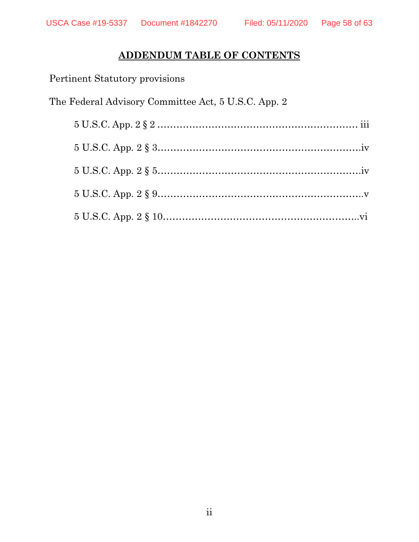# **ADDENDUM TABLE OF CONTENTS**

Pertinent Statutory provisions

The Federal Advisory Committee Act, 5 U.S.C. App. 2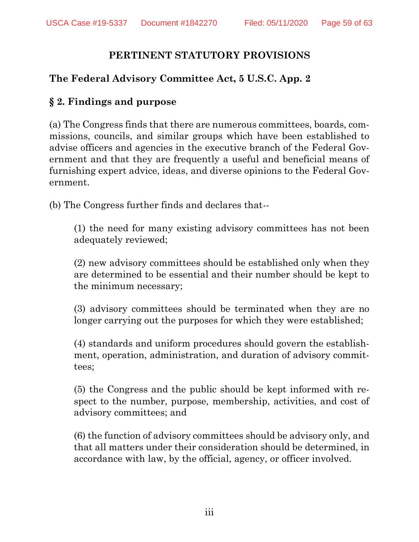# **PERTINENT STATUTORY PROVISIONS**

# **The Federal Advisory Committee Act, 5 U.S.C. App. 2**

# **§ 2. Findings and purpose**

(a) The Congress finds that there are numerous committees, boards, commissions, councils, and similar groups which have been established to advise officers and agencies in the executive branch of the Federal Government and that they are frequently a useful and beneficial means of furnishing expert advice, ideas, and diverse opinions to the Federal Government.

(b) The Congress further finds and declares that--

(1) the need for many existing advisory committees has not been adequately reviewed;

(2) new advisory committees should be established only when they are determined to be essential and their number should be kept to the minimum necessary;

(3) advisory committees should be terminated when they are no longer carrying out the purposes for which they were established;

(4) standards and uniform procedures should govern the establishment, operation, administration, and duration of advisory committees;

(5) the Congress and the public should be kept informed with respect to the number, purpose, membership, activities, and cost of advisory committees; and

(6) the function of advisory committees should be advisory only, and that all matters under their consideration should be determined, in accordance with law, by the official, agency, or officer involved.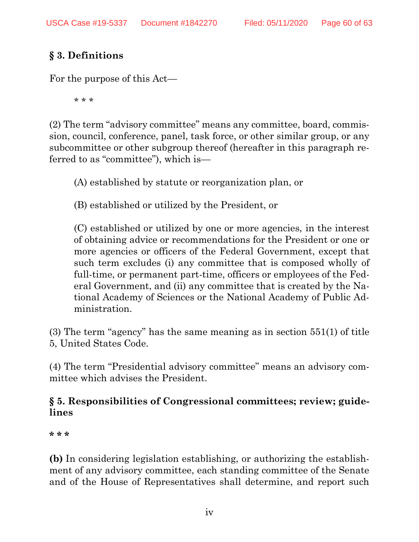# **§ 3. Definitions**

For the purpose of this Act—

\* \* \*

(2) The term "advisory committee" means any committee, board, commission, council, conference, panel, task force, or other similar group, or any subcommittee or other subgroup thereof (hereafter in this paragraph referred to as "committee"), which is—

(A) established by statute or reorganization plan, or

(B) established or utilized by the President, or

(C) established or utilized by one or more agencies, in the interest of obtaining advice or recommendations for the President or one or more agencies or officers of the Federal Government, except that such term excludes (i) any committee that is composed wholly of full-time, or permanent part-time, officers or employees of the Federal Government, and (ii) any committee that is created by the National Academy of Sciences or the National Academy of Public Administration.

(3) The term "agency" has the same meaning as in section 551(1) of title 5, United States Code.

(4) The term "Presidential advisory committee" means an advisory committee which advises the President.

# **§ 5. Responsibilities of Congressional committees; review; guidelines**

**\* \* \***

**(b)** In considering legislation establishing, or authorizing the establishment of any advisory committee, each standing committee of the Senate and of the House of Representatives shall determine, and report such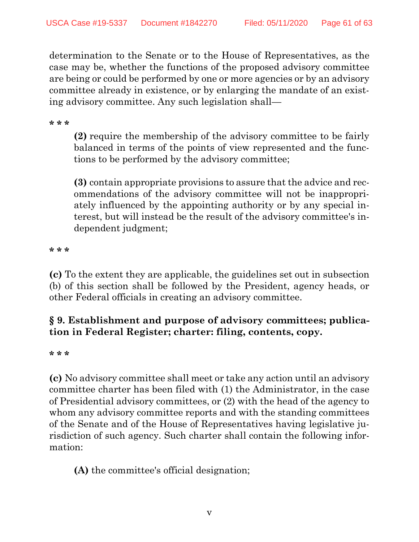determination to the Senate or to the House of Representatives, as the case may be, whether the functions of the proposed advisory committee are being or could be performed by one or more agencies or by an advisory committee already in existence, or by enlarging the mandate of an existing advisory committee. Any such legislation shall—

**\* \* \***

**(2)** require the membership of the advisory committee to be fairly balanced in terms of the points of view represented and the functions to be performed by the advisory committee;

**(3)** contain appropriate provisions to assure that the advice and recommendations of the advisory committee will not be inappropriately influenced by the appointing authority or by any special interest, but will instead be the result of the advisory committee's independent judgment;

**\* \* \***

**(c)** To the extent they are applicable, the guidelines set out in subsection (b) of this section shall be followed by the President, agency heads, or other Federal officials in creating an advisory committee.

# **§ 9. Establishment and purpose of advisory committees; publication in Federal Register; charter: filing, contents, copy.**

**\* \* \***

**(c)** No advisory committee shall meet or take any action until an advisory committee charter has been filed with (1) the Administrator, in the case of Presidential advisory committees, or (2) with the head of the agency to whom any advisory committee reports and with the standing committees of the Senate and of the House of Representatives having legislative jurisdiction of such agency. Such charter shall contain the following information:

**(A)** the committee's official designation;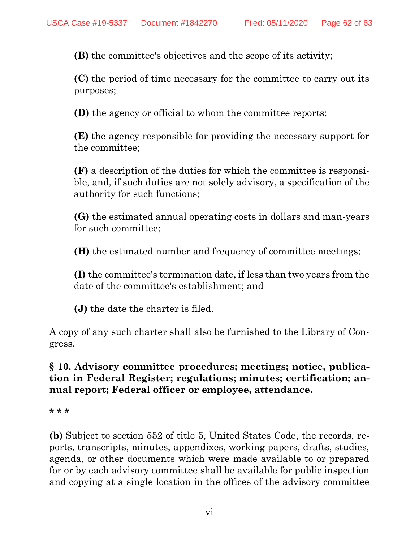**(B)** the committee's objectives and the scope of its activity;

**(C)** the period of time necessary for the committee to carry out its purposes;

**(D)** the agency or official to whom the committee reports;

**(E)** the agency responsible for providing the necessary support for the committee;

**(F)** a description of the duties for which the committee is responsible, and, if such duties are not solely advisory, a specification of the authority for such functions;

**(G)** the estimated annual operating costs in dollars and man-years for such committee;

**(H)** the estimated number and frequency of committee meetings;

**(I)** the committee's termination date, if less than two years from the date of the committee's establishment; and

**(J)** the date the charter is filed.

A copy of any such charter shall also be furnished to the Library of Congress.

# **§ 10. Advisory committee procedures; meetings; notice, publication in Federal Register; regulations; minutes; certification; annual report; Federal officer or employee, attendance.**

**\* \* \***

**(b)** Subject to section 552 of title 5, United States Code, the records, reports, transcripts, minutes, appendixes, working papers, drafts, studies, agenda, or other documents which were made available to or prepared for or by each advisory committee shall be available for public inspection and copying at a single location in the offices of the advisory committee